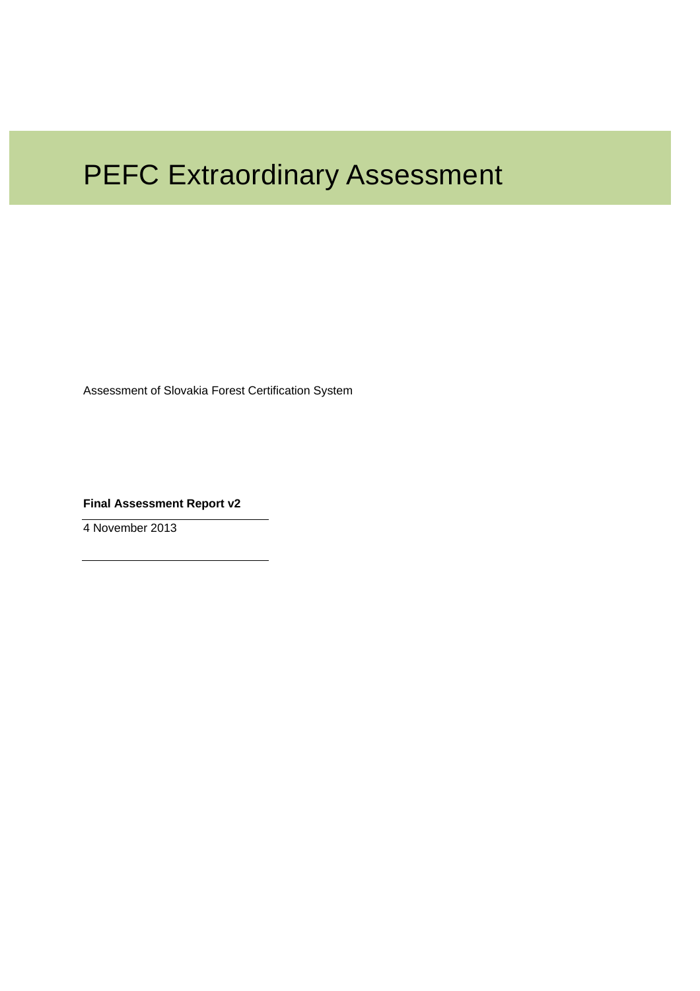# PEFC Extraordinary Assessment

Assessment of Slovakia Forest Certification System

**Final Assessment Report v2** 

4 November 2013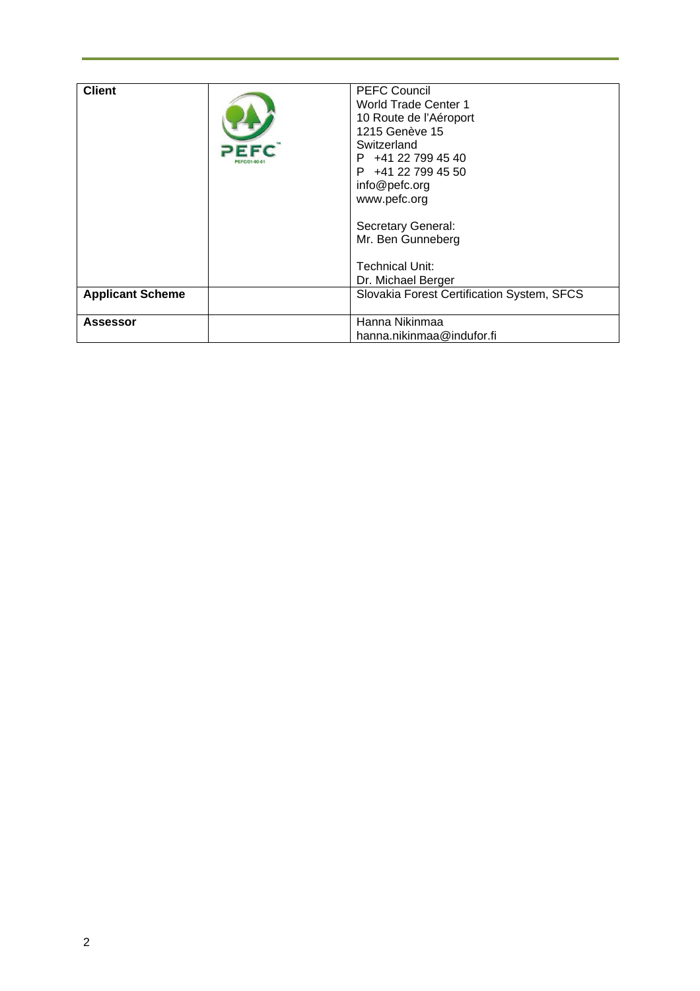| <b>Client</b><br><b>Applicant Scheme</b> | <b>PEFC Council</b><br><b>World Trade Center 1</b><br>10 Route de l'Aéroport<br>1215 Genève 15<br>Switzerland<br>$P$ +41 22 799 45 40<br>$P$ +41 22 799 45 50<br>info@pefc.org<br>www.pefc.org<br>Secretary General:<br>Mr. Ben Gunneberg<br>Technical Unit:<br>Dr. Michael Berger<br>Slovakia Forest Certification System, SFCS |
|------------------------------------------|----------------------------------------------------------------------------------------------------------------------------------------------------------------------------------------------------------------------------------------------------------------------------------------------------------------------------------|
|                                          |                                                                                                                                                                                                                                                                                                                                  |
| <b>Assessor</b>                          | Hanna Nikinmaa                                                                                                                                                                                                                                                                                                                   |
|                                          | hanna.nikinmaa@indufor.fi                                                                                                                                                                                                                                                                                                        |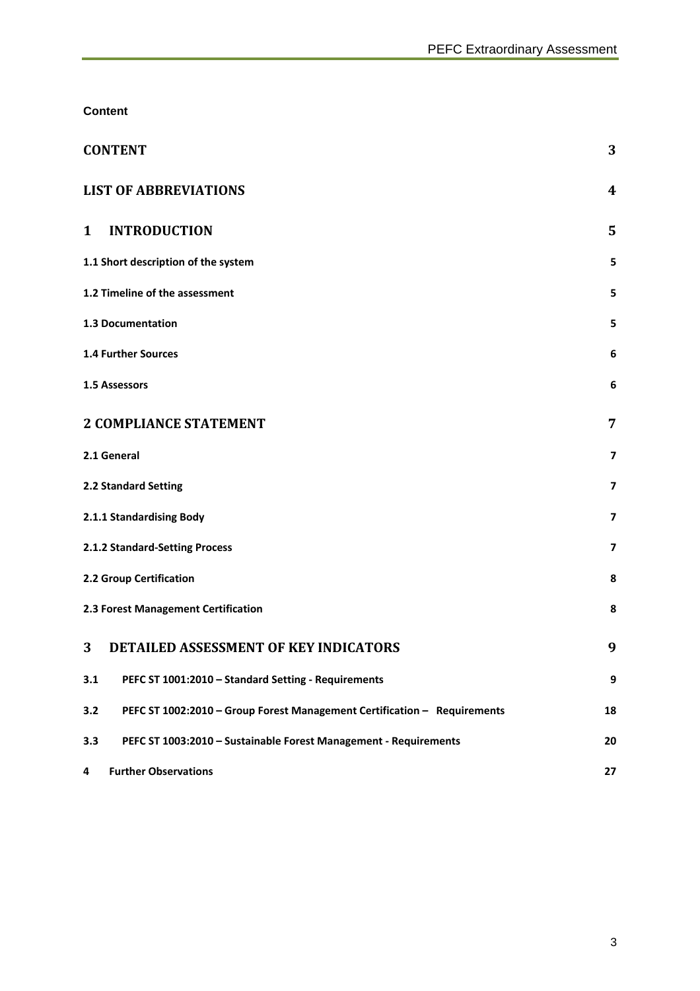**Content** 

| <b>CONTENT</b>                                                                  | 3                       |
|---------------------------------------------------------------------------------|-------------------------|
| <b>LIST OF ABBREVIATIONS</b>                                                    | $\boldsymbol{4}$        |
| <b>INTRODUCTION</b><br>1                                                        | 5                       |
| 1.1 Short description of the system                                             | 5                       |
| 1.2 Timeline of the assessment                                                  | 5                       |
| 1.3 Documentation                                                               | 5                       |
| <b>1.4 Further Sources</b>                                                      | 6                       |
| 1.5 Assessors                                                                   | 6                       |
| <b>2 COMPLIANCE STATEMENT</b>                                                   | 7                       |
| 2.1 General                                                                     | $\overline{ }$          |
| 2.2 Standard Setting                                                            | 7                       |
| 2.1.1 Standardising Body                                                        | $\overline{ }$          |
| 2.1.2 Standard-Setting Process                                                  | $\overline{\mathbf{z}}$ |
| 2.2 Group Certification                                                         | 8                       |
| 2.3 Forest Management Certification                                             | 8                       |
| DETAILED ASSESSMENT OF KEY INDICATORS<br>3                                      | 9                       |
| PEFC ST 1001:2010 - Standard Setting - Requirements<br>3.1                      | 9                       |
| PEFC ST 1002:2010 - Group Forest Management Certification - Requirements<br>3.2 | 18                      |
| 3.3<br>PEFC ST 1003:2010 - Sustainable Forest Management - Requirements         | 20                      |
| <b>Further Observations</b><br>4                                                | 27                      |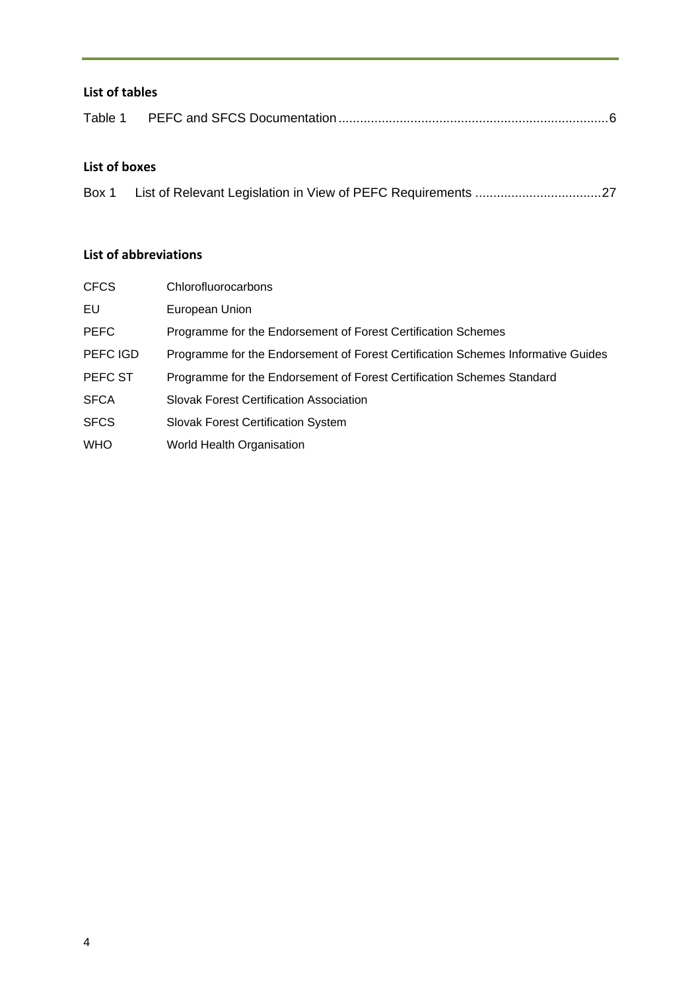## **List of tables**

### **List of boxes**

| Box 1 |  |  |
|-------|--|--|
|       |  |  |
|       |  |  |

### **List of abbreviations**

| <b>CFCS</b> | Chlorofluorocarbons                                                              |
|-------------|----------------------------------------------------------------------------------|
| EU          | European Union                                                                   |
| <b>PEFC</b> | Programme for the Endorsement of Forest Certification Schemes                    |
| PEFC IGD    | Programme for the Endorsement of Forest Certification Schemes Informative Guides |
| PEFC ST     | Programme for the Endorsement of Forest Certification Schemes Standard           |
| <b>SFCA</b> | <b>Slovak Forest Certification Association</b>                                   |
| <b>SFCS</b> | <b>Slovak Forest Certification System</b>                                        |
| <b>WHO</b>  | World Health Organisation                                                        |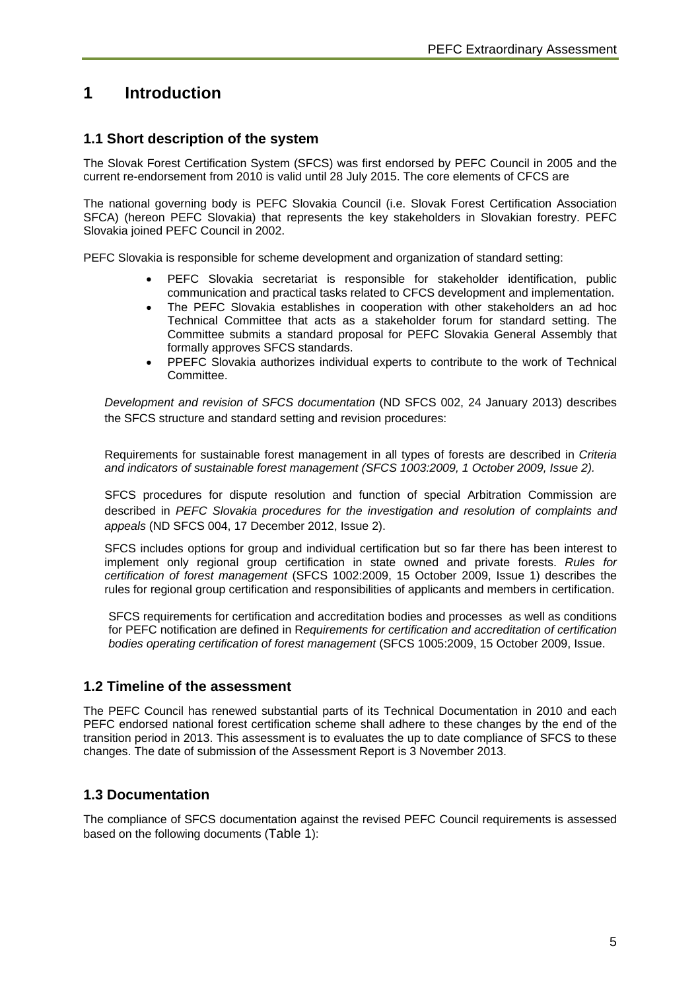# **1 Introduction**

#### **1.1 Short description of the system**

The Slovak Forest Certification System (SFCS) was first endorsed by PEFC Council in 2005 and the current re-endorsement from 2010 is valid until 28 July 2015. The core elements of CFCS are

The national governing body is PEFC Slovakia Council (i.e. Slovak Forest Certification Association SFCA) (hereon PEFC Slovakia) that represents the key stakeholders in Slovakian forestry. PEFC Slovakia joined PEFC Council in 2002.

PEFC Slovakia is responsible for scheme development and organization of standard setting:

- PEFC Slovakia secretariat is responsible for stakeholder identification, public communication and practical tasks related to CFCS development and implementation.
- The PEFC Slovakia establishes in cooperation with other stakeholders an ad hoc Technical Committee that acts as a stakeholder forum for standard setting. The Committee submits a standard proposal for PEFC Slovakia General Assembly that formally approves SFCS standards.
- PPEFC Slovakia authorizes individual experts to contribute to the work of Technical Committee.

*Development and revision of SFCS documentation* (ND SFCS 002, 24 January 2013) describes the SFCS structure and standard setting and revision procedures:

Requirements for sustainable forest management in all types of forests are described in *Criteria and indicators of sustainable forest management (SFCS 1003:2009, 1 October 2009, Issue 2).*

SFCS procedures for dispute resolution and function of special Arbitration Commission are described in *PEFC Slovakia procedures for the investigation and resolution of complaints and appeals* (ND SFCS 004, 17 December 2012, Issue 2).

SFCS includes options for group and individual certification but so far there has been interest to implement only regional group certification in state owned and private forests. *Rules for certification of forest management* (SFCS 1002:2009, 15 October 2009, Issue 1) describes the rules for regional group certification and responsibilities of applicants and members in certification.

SFCS requirements for certification and accreditation bodies and processes as well as conditions for PEFC notification are defined in R*equirements for certification and accreditation of certification bodies operating certification of forest management* (SFCS 1005:2009, 15 October 2009, Issue.

#### **1.2 Timeline of the assessment**

The PEFC Council has renewed substantial parts of its Technical Documentation in 2010 and each PEFC endorsed national forest certification scheme shall adhere to these changes by the end of the transition period in 2013. This assessment is to evaluates the up to date compliance of SFCS to these changes. The date of submission of the Assessment Report is 3 November 2013.

#### **1.3 Documentation**

The compliance of SFCS documentation against the revised PEFC Council requirements is assessed based on the following documents (Table 1):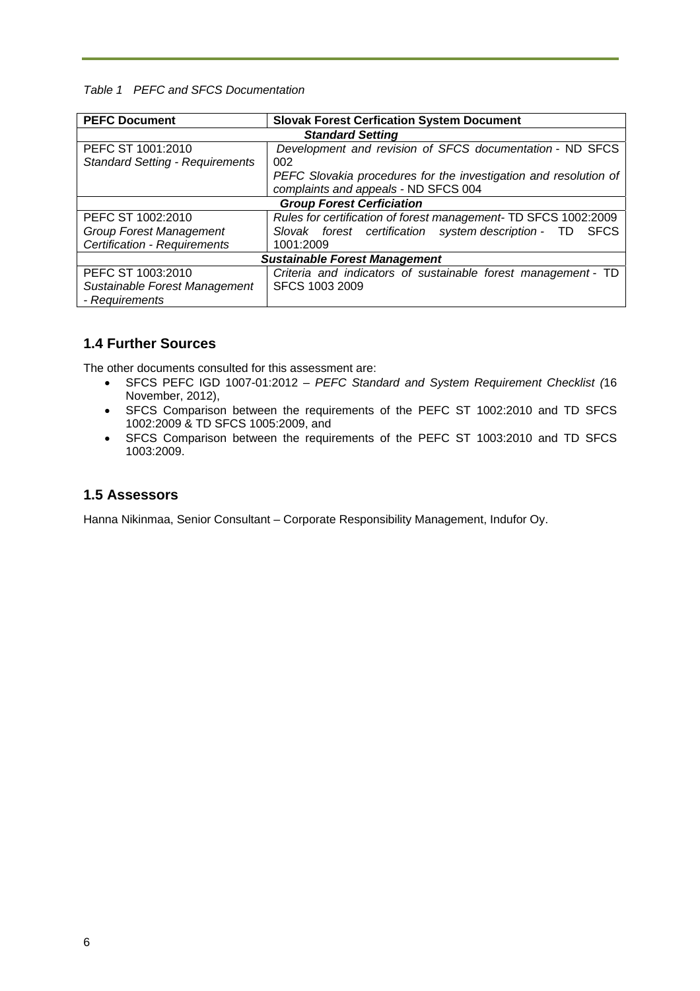#### *Table 1 PEFC and SFCS Documentation*

| <b>PEFC Document</b><br><b>Slovak Forest Cerfication System Document</b> |                                                                  |  |  |  |
|--------------------------------------------------------------------------|------------------------------------------------------------------|--|--|--|
|                                                                          | <b>Standard Setting</b>                                          |  |  |  |
| PEFC ST 1001:2010                                                        | Development and revision of SFCS documentation - ND SFCS         |  |  |  |
| <b>Standard Setting - Requirements</b>                                   | 002                                                              |  |  |  |
|                                                                          | PEFC Slovakia procedures for the investigation and resolution of |  |  |  |
|                                                                          | complaints and appeals - ND SFCS 004                             |  |  |  |
| <b>Group Forest Cerficiation</b>                                         |                                                                  |  |  |  |
| PEFC ST 1002:2010                                                        | Rules for certification of forest management- TD SFCS 1002:2009  |  |  |  |
| <b>Group Forest Management</b>                                           | Slovak forest certification system description - TD SFCS         |  |  |  |
| Certification - Requirements                                             | 1001:2009                                                        |  |  |  |
| <b>Sustainable Forest Management</b>                                     |                                                                  |  |  |  |
| PEFC ST 1003:2010                                                        | Criteria and indicators of sustainable forest management - TD    |  |  |  |
| Sustainable Forest Management                                            | SFCS 1003 2009                                                   |  |  |  |
| - Requirements                                                           |                                                                  |  |  |  |

## **1.4 Further Sources**

The other documents consulted for this assessment are:

- SFCS PEFC IGD 1007-01:2012 *PEFC Standard and System Requirement Checklist (*16 November, 2012),
- SFCS Comparison between the requirements of the PEFC ST 1002:2010 and TD SFCS 1002:2009 & TD SFCS 1005:2009, and
- SFCS Comparison between the requirements of the PEFC ST 1003:2010 and TD SFCS 1003:2009.

#### **1.5 Assessors**

Hanna Nikinmaa, Senior Consultant – Corporate Responsibility Management, Indufor Oy.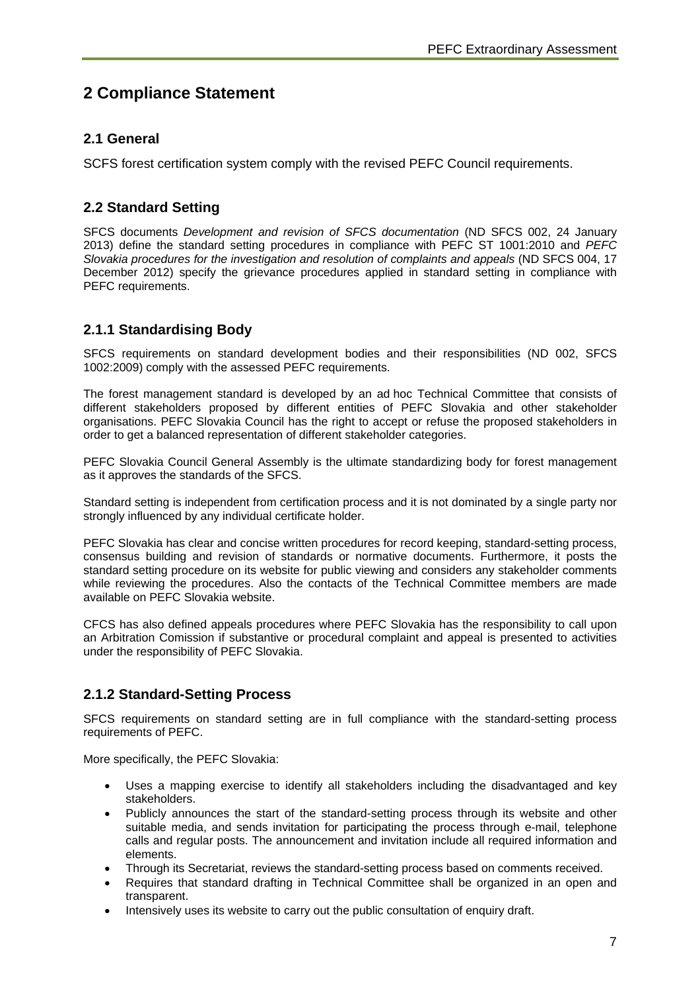# **2 Compliance Statement**

## **2.1 General**

SCFS forest certification system comply with the revised PEFC Council requirements.

## **2.2 Standard Setting**

SFCS documents *Development and revision of SFCS documentation* (ND SFCS 002, 24 January 2013) define the standard setting procedures in compliance with PEFC ST 1001:2010 and *PEFC Slovakia procedures for the investigation and resolution of complaints and appeals* (ND SFCS 004, 17 December 2012) specify the grievance procedures applied in standard setting in compliance with PEFC requirements.

## **2.1.1 Standardising Body**

SFCS requirements on standard development bodies and their responsibilities (ND 002, SFCS 1002:2009) comply with the assessed PEFC requirements.

The forest management standard is developed by an ad hoc Technical Committee that consists of different stakeholders proposed by different entities of PEFC Slovakia and other stakeholder organisations. PEFC Slovakia Council has the right to accept or refuse the proposed stakeholders in order to get a balanced representation of different stakeholder categories.

PEFC Slovakia Council General Assembly is the ultimate standardizing body for forest management as it approves the standards of the SFCS.

Standard setting is independent from certification process and it is not dominated by a single party nor strongly influenced by any individual certificate holder.

PEFC Slovakia has clear and concise written procedures for record keeping, standard-setting process, consensus building and revision of standards or normative documents. Furthermore, it posts the standard setting procedure on its website for public viewing and considers any stakeholder comments while reviewing the procedures. Also the contacts of the Technical Committee members are made available on PEFC Slovakia website.

CFCS has also defined appeals procedures where PEFC Slovakia has the responsibility to call upon an Arbitration Comission if substantive or procedural complaint and appeal is presented to activities under the responsibility of PEFC Slovakia.

### **2.1.2 Standard-Setting Process**

SFCS requirements on standard setting are in full compliance with the standard-setting process requirements of PEFC.

More specifically, the PEFC Slovakia:

- Uses a mapping exercise to identify all stakeholders including the disadvantaged and key stakeholders.
- Publicly announces the start of the standard-setting process through its website and other suitable media, and sends invitation for participating the process through e-mail, telephone calls and regular posts. The announcement and invitation include all required information and elements.
- Through its Secretariat, reviews the standard-setting process based on comments received.
- Requires that standard drafting in Technical Committee shall be organized in an open and transparent.
- Intensively uses its website to carry out the public consultation of enquiry draft.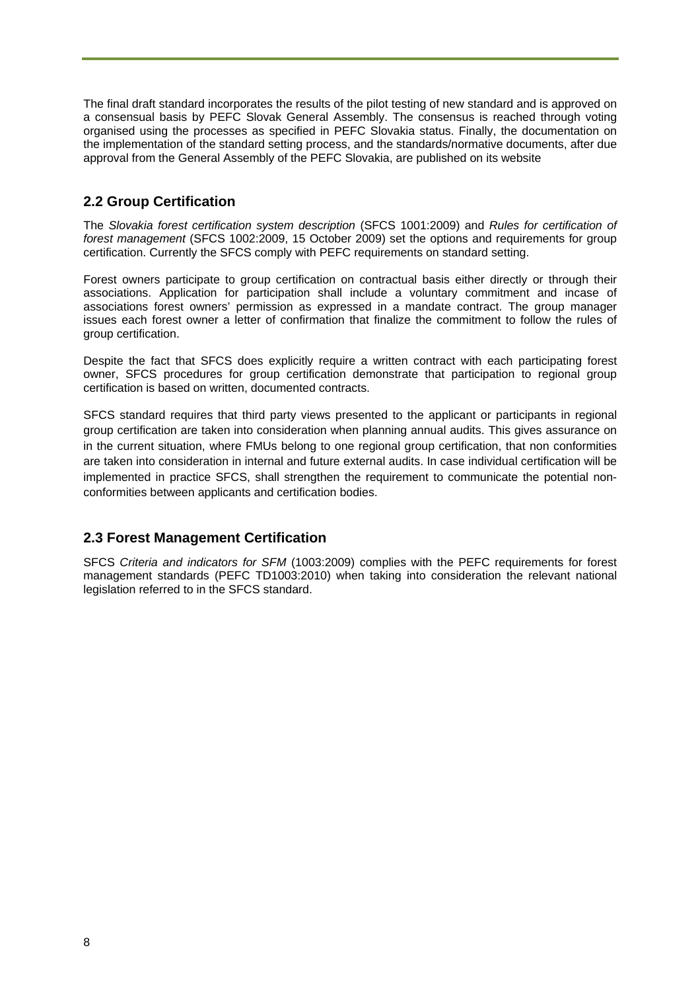The final draft standard incorporates the results of the pilot testing of new standard and is approved on a consensual basis by PEFC Slovak General Assembly. The consensus is reached through voting organised using the processes as specified in PEFC Slovakia status. Finally, the documentation on the implementation of the standard setting process, and the standards/normative documents, after due approval from the General Assembly of the PEFC Slovakia, are published on its website

## **2.2 Group Certification**

The *Slovakia forest certification system description* (SFCS 1001:2009) and *Rules for certification of forest management* (SFCS 1002:2009, 15 October 2009) set the options and requirements for group certification. Currently the SFCS comply with PEFC requirements on standard setting.

Forest owners participate to group certification on contractual basis either directly or through their associations. Application for participation shall include a voluntary commitment and incase of associations forest owners' permission as expressed in a mandate contract. The group manager issues each forest owner a letter of confirmation that finalize the commitment to follow the rules of group certification.

Despite the fact that SFCS does explicitly require a written contract with each participating forest owner, SFCS procedures for group certification demonstrate that participation to regional group certification is based on written, documented contracts.

SFCS standard requires that third party views presented to the applicant or participants in regional group certification are taken into consideration when planning annual audits. This gives assurance on in the current situation, where FMUs belong to one regional group certification, that non conformities are taken into consideration in internal and future external audits. In case individual certification will be implemented in practice SFCS, shall strengthen the requirement to communicate the potential nonconformities between applicants and certification bodies.

### **2.3 Forest Management Certification**

SFCS *Criteria and indicators for SFM* (1003:2009) complies with the PEFC requirements for forest management standards (PEFC TD1003:2010) when taking into consideration the relevant national legislation referred to in the SFCS standard.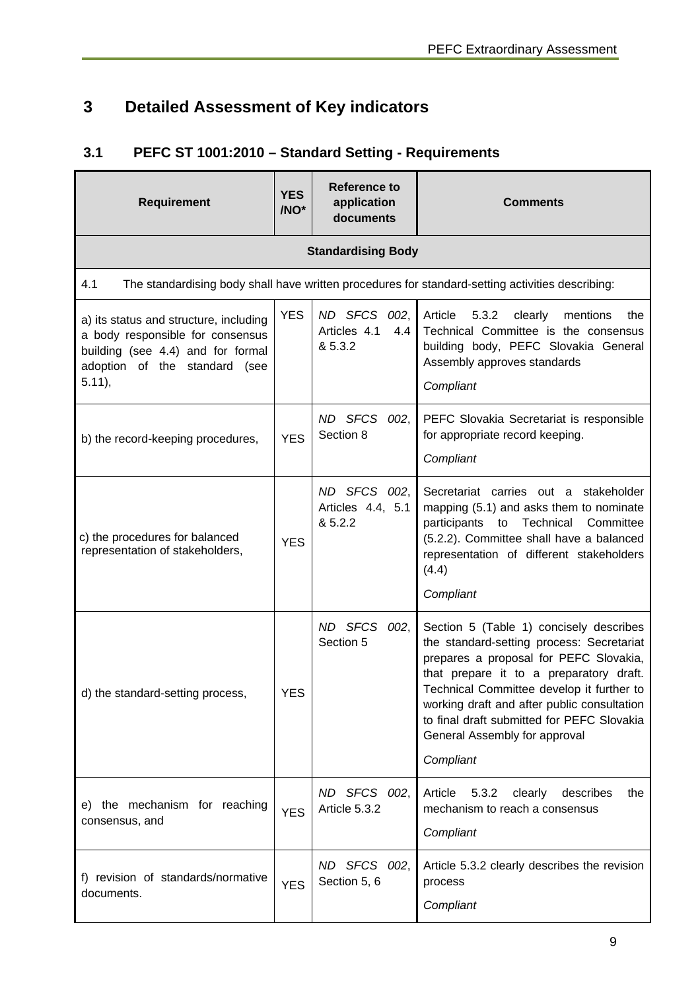# **3 Detailed Assessment of Key indicators**

# **3.1 PEFC ST 1001:2010 – Standard Setting - Requirements**

| Requirement                                                                                                                                                   | <b>YES</b><br>/NO* | <b>Reference to</b><br>application<br>documents | <b>Comments</b>                                                                                                                                                                                                                                                                                                                                                   |
|---------------------------------------------------------------------------------------------------------------------------------------------------------------|--------------------|-------------------------------------------------|-------------------------------------------------------------------------------------------------------------------------------------------------------------------------------------------------------------------------------------------------------------------------------------------------------------------------------------------------------------------|
|                                                                                                                                                               |                    | <b>Standardising Body</b>                       |                                                                                                                                                                                                                                                                                                                                                                   |
| 4.1                                                                                                                                                           |                    |                                                 | The standardising body shall have written procedures for standard-setting activities describing:                                                                                                                                                                                                                                                                  |
| a) its status and structure, including<br>a body responsible for consensus<br>building (see 4.4) and for formal<br>adoption of the standard (see<br>$5.11$ ), | <b>YES</b>         | ND SFCS 002,<br>4.4<br>Articles 4.1<br>& 5.3.2  | Article<br>5.3.2<br>clearly<br>mentions<br>the<br>Technical Committee is the consensus<br>building body, PEFC Slovakia General<br>Assembly approves standards<br>Compliant                                                                                                                                                                                        |
| b) the record-keeping procedures,                                                                                                                             | <b>YES</b>         | ND SFCS 002,<br>Section 8                       | PEFC Slovakia Secretariat is responsible<br>for appropriate record keeping.<br>Compliant                                                                                                                                                                                                                                                                          |
| c) the procedures for balanced<br>representation of stakeholders,                                                                                             | <b>YES</b>         | ND SFCS 002,<br>Articles 4.4, 5.1<br>& 5.2.2    | Secretariat carries out a stakeholder<br>mapping (5.1) and asks them to nominate<br>Technical<br>participants<br>to<br>Committee<br>(5.2.2). Committee shall have a balanced<br>representation of different stakeholders<br>(4.4)<br>Compliant                                                                                                                    |
| d) the standard-setting process,                                                                                                                              | <b>YES</b>         | ND SFCS<br>002,<br>Section 5                    | Section 5 (Table 1) concisely describes<br>the standard-setting process: Secretariat<br>prepares a proposal for PEFC Slovakia,<br>that prepare it to a preparatory draft.<br>Technical Committee develop it further to<br>working draft and after public consultation<br>to final draft submitted for PEFC Slovakia<br>General Assembly for approval<br>Compliant |
| e) the mechanism for reaching<br>consensus, and                                                                                                               | <b>YES</b>         | ND SFCS 002,<br>Article 5.3.2                   | Article<br>5.3.2<br>clearly<br>describes<br>the<br>mechanism to reach a consensus<br>Compliant                                                                                                                                                                                                                                                                    |
| f) revision of standards/normative<br>documents.                                                                                                              | <b>YES</b>         | ND SFCS 002,<br>Section 5, 6                    | Article 5.3.2 clearly describes the revision<br>process<br>Compliant                                                                                                                                                                                                                                                                                              |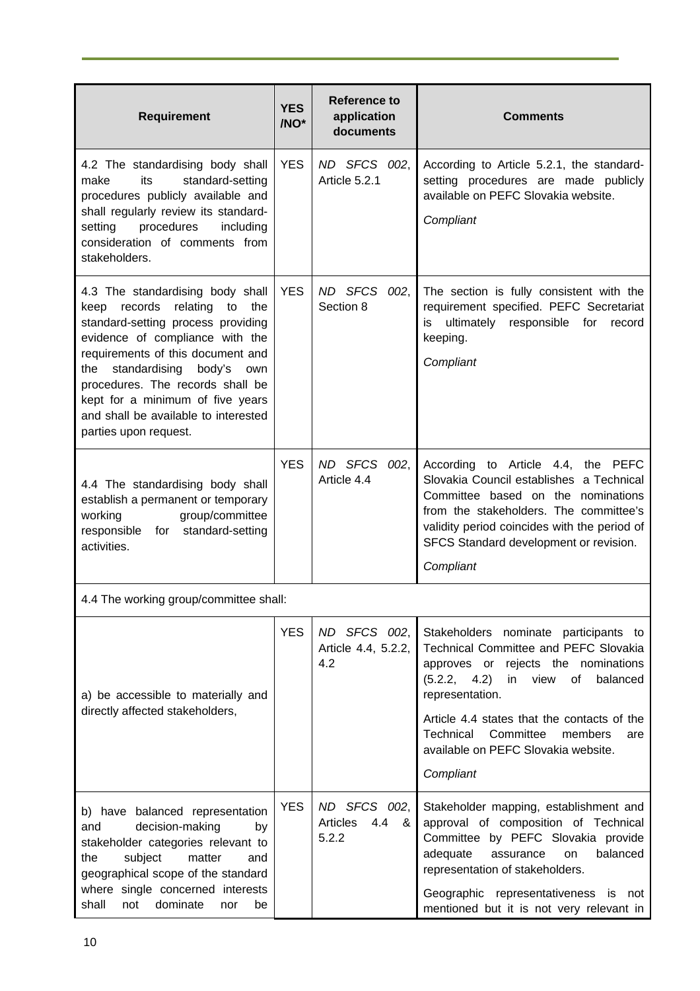| <b>Requirement</b>                                                                                                                                                                                                                                                                                                                                                        | <b>YES</b><br>/NO* | <b>Reference to</b><br>application<br>documents | <b>Comments</b>                                                                                                                                                                                                                                                                                                                     |  |
|---------------------------------------------------------------------------------------------------------------------------------------------------------------------------------------------------------------------------------------------------------------------------------------------------------------------------------------------------------------------------|--------------------|-------------------------------------------------|-------------------------------------------------------------------------------------------------------------------------------------------------------------------------------------------------------------------------------------------------------------------------------------------------------------------------------------|--|
| 4.2 The standardising body shall<br>standard-setting<br>make<br>its<br>procedures publicly available and<br>shall regularly review its standard-<br>procedures<br>setting<br>including<br>consideration of comments from<br>stakeholders.                                                                                                                                 | <b>YES</b>         | ND SFCS 002,<br>Article 5.2.1                   | According to Article 5.2.1, the standard-<br>setting procedures are made publicly<br>available on PEFC Slovakia website.<br>Compliant                                                                                                                                                                                               |  |
| 4.3 The standardising body shall<br>keep records<br>relating<br>the<br>to<br>standard-setting process providing<br>evidence of compliance with the<br>requirements of this document and<br>standardising<br>body's<br>the<br>own<br>procedures. The records shall be<br>kept for a minimum of five years<br>and shall be available to interested<br>parties upon request. | <b>YES</b>         | ND SFCS 002,<br>Section 8                       | The section is fully consistent with the<br>requirement specified. PEFC Secretariat<br>ultimately responsible for<br>is<br>record<br>keeping.<br>Compliant                                                                                                                                                                          |  |
| 4.4 The standardising body shall<br>establish a permanent or temporary<br>group/committee<br>working<br>for standard-setting<br>responsible<br>activities.                                                                                                                                                                                                                | <b>YES</b>         | ND SFCS 002,<br>Article 4.4                     | According to Article 4.4, the PEFC<br>Slovakia Council establishes a Technical<br>Committee based on the nominations<br>from the stakeholders. The committee's<br>validity period coincides with the period of<br>SFCS Standard development or revision.<br>Compliant                                                               |  |
| 4.4 The working group/committee shall:                                                                                                                                                                                                                                                                                                                                    |                    |                                                 |                                                                                                                                                                                                                                                                                                                                     |  |
| a) be accessible to materially and<br>directly affected stakeholders,                                                                                                                                                                                                                                                                                                     | <b>YES</b>         | ND SFCS 002,<br>Article 4.4, 5.2.2,<br>4.2      | Stakeholders nominate participants to<br>Technical Committee and PEFC Slovakia<br>approves or rejects the nominations<br>$(5.2.2, 4.2)$ in view<br>of<br>balanced<br>representation.<br>Article 4.4 states that the contacts of the<br>Committee<br>Technical<br>members<br>are<br>available on PEFC Slovakia website.<br>Compliant |  |
| b) have balanced representation<br>decision-making<br>and<br>by<br>stakeholder categories relevant to<br>subject<br>matter<br>the<br>and<br>geographical scope of the standard<br>where single concerned interests<br>shall<br>dominate<br>not<br>be<br>nor                                                                                                               | <b>YES</b>         | ND SFCS 002,<br>Articles<br>4.4 &<br>5.2.2      | Stakeholder mapping, establishment and<br>approval of composition of Technical<br>Committee by PEFC Slovakia provide<br>adequate<br>balanced<br>assurance<br>on<br>representation of stakeholders.<br>Geographic representativeness is not<br>mentioned but it is not very relevant in                                              |  |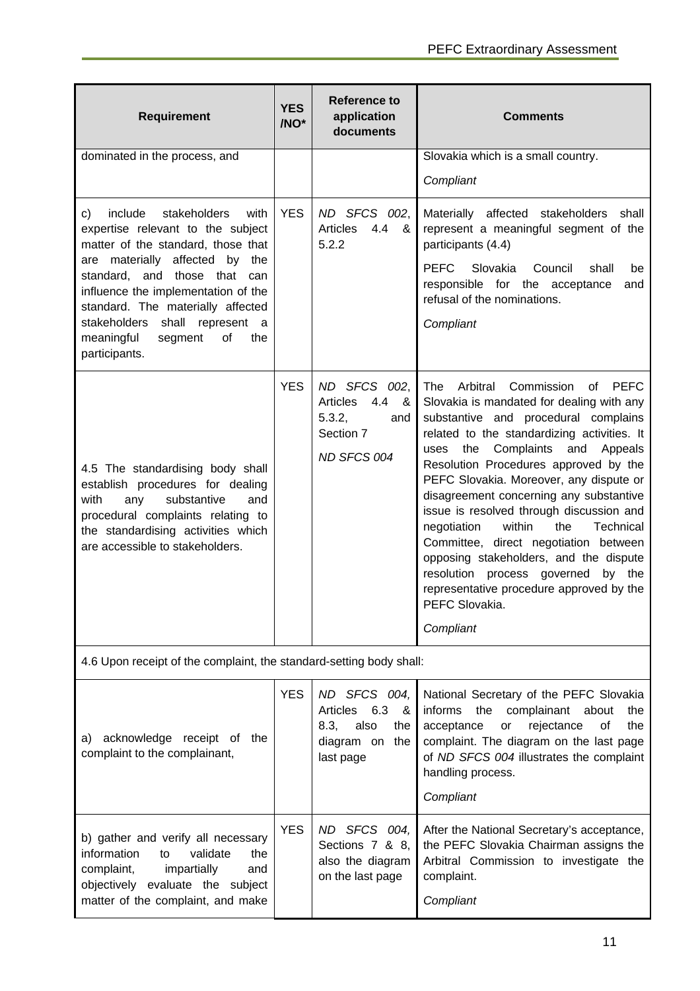| <b>Requirement</b>                                                                                                                                                                                                                                                                                                                                         | <b>YES</b><br>/NO* | <b>Reference to</b><br>application<br>documents                                               | <b>Comments</b>                                                                                                                                                                                                                                                                                                                                                                                                                                                                                                                                                                                                                                                   |
|------------------------------------------------------------------------------------------------------------------------------------------------------------------------------------------------------------------------------------------------------------------------------------------------------------------------------------------------------------|--------------------|-----------------------------------------------------------------------------------------------|-------------------------------------------------------------------------------------------------------------------------------------------------------------------------------------------------------------------------------------------------------------------------------------------------------------------------------------------------------------------------------------------------------------------------------------------------------------------------------------------------------------------------------------------------------------------------------------------------------------------------------------------------------------------|
| dominated in the process, and                                                                                                                                                                                                                                                                                                                              |                    |                                                                                               | Slovakia which is a small country.<br>Compliant                                                                                                                                                                                                                                                                                                                                                                                                                                                                                                                                                                                                                   |
| include<br>stakeholders<br>with<br>c)<br>expertise relevant to the subject<br>matter of the standard, those that<br>are materially affected by the<br>standard, and those that can<br>influence the implementation of the<br>standard. The materially affected<br>stakeholders shall<br>represent a<br>meaningful<br>segment<br>of<br>the<br>participants. | <b>YES</b>         | ND SFCS 002,<br>Articles<br>4.4<br>- &<br>5.2.2                                               | Materially affected stakeholders<br>shall<br>represent a meaningful segment of the<br>participants (4.4)<br><b>PEFC</b><br>Slovakia<br>Council<br>shall<br>be<br>responsible for the acceptance<br>and<br>refusal of the nominations.<br>Compliant                                                                                                                                                                                                                                                                                                                                                                                                                |
| 4.5 The standardising body shall<br>establish procedures for dealing<br>with<br>any<br>substantive<br>and<br>procedural complaints relating to<br>the standardising activities which<br>are accessible to stakeholders.                                                                                                                                    | <b>YES</b>         | ND SFCS 002,<br>4.4<br>Articles<br>&<br>5.3.2,<br>and<br>Section 7<br>ND SFCS 004             | Commission<br>The<br>Arbitral<br>of<br><b>PEFC</b><br>Slovakia is mandated for dealing with any<br>substantive and procedural complains<br>related to the standardizing activities. It<br>the<br>Complaints and<br>Appeals<br>uses<br>Resolution Procedures approved by the<br>PEFC Slovakia. Moreover, any dispute or<br>disagreement concerning any substantive<br>issue is resolved through discussion and<br>within<br>negotiation<br>the<br>Technical<br>Committee, direct negotiation between<br>opposing stakeholders, and the dispute<br>resolution process governed<br>by the<br>representative procedure approved by the<br>PEFC Slovakia.<br>Compliant |
| 4.6 Upon receipt of the complaint, the standard-setting body shall:                                                                                                                                                                                                                                                                                        |                    |                                                                                               |                                                                                                                                                                                                                                                                                                                                                                                                                                                                                                                                                                                                                                                                   |
| acknowledge receipt of the<br>a)<br>complaint to the complainant,                                                                                                                                                                                                                                                                                          | <b>YES</b>         | ND SFCS 004,<br>Articles<br>6.3<br>&<br>8.3,<br>also<br>the<br>diagram on<br>the<br>last page | National Secretary of the PEFC Slovakia<br>informs<br>the<br>complainant<br>about<br>the<br>rejectance<br>acceptance<br>οf<br>the<br>or<br>complaint. The diagram on the last page<br>of ND SFCS 004 illustrates the complaint<br>handling process.<br>Compliant                                                                                                                                                                                                                                                                                                                                                                                                  |
| b) gather and verify all necessary<br>validate<br>information<br>the<br>to<br>complaint,<br>impartially<br>and<br>objectively evaluate the subject<br>matter of the complaint, and make                                                                                                                                                                    | <b>YES</b>         | ND SFCS 004,<br>Sections 7 & 8,<br>also the diagram<br>on the last page                       | After the National Secretary's acceptance,<br>the PEFC Slovakia Chairman assigns the<br>Arbitral Commission to investigate the<br>complaint.<br>Compliant                                                                                                                                                                                                                                                                                                                                                                                                                                                                                                         |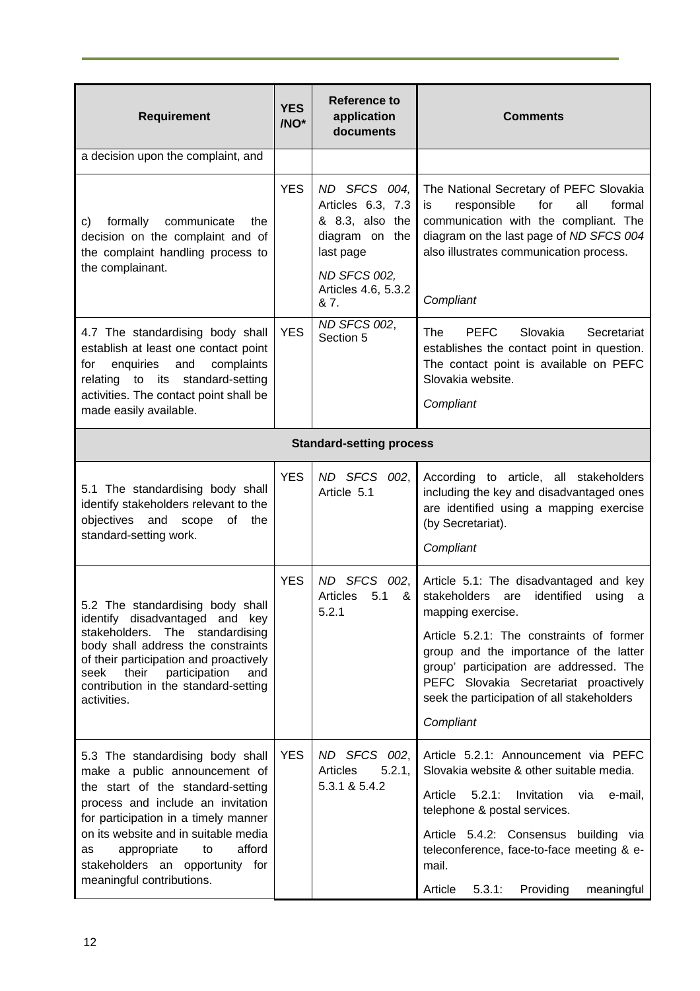|                                                                                                                                                                                                                                                                                                                                  | <b>YES</b> | <b>Reference to</b>                                                                                                                |                                                                                                                                                                                                                                                                                                                                                     |
|----------------------------------------------------------------------------------------------------------------------------------------------------------------------------------------------------------------------------------------------------------------------------------------------------------------------------------|------------|------------------------------------------------------------------------------------------------------------------------------------|-----------------------------------------------------------------------------------------------------------------------------------------------------------------------------------------------------------------------------------------------------------------------------------------------------------------------------------------------------|
| <b>Requirement</b>                                                                                                                                                                                                                                                                                                               | /NO*       | application<br>documents                                                                                                           | <b>Comments</b>                                                                                                                                                                                                                                                                                                                                     |
| a decision upon the complaint, and                                                                                                                                                                                                                                                                                               |            |                                                                                                                                    |                                                                                                                                                                                                                                                                                                                                                     |
| formally<br>communicate<br>the<br>C)<br>decision on the complaint and of<br>the complaint handling process to<br>the complainant.                                                                                                                                                                                                | <b>YES</b> | ND SFCS 004,<br>Articles 6.3, 7.3<br>& 8.3, also the<br>diagram on the<br>last page<br>ND SFCS 002,<br>Articles 4.6, 5.3.2<br>& 7. | The National Secretary of PEFC Slovakia<br>responsible<br>for<br>all<br>formal<br>is<br>communication with the compliant. The<br>diagram on the last page of ND SFCS 004<br>also illustrates communication process.<br>Compliant                                                                                                                    |
| 4.7 The standardising body shall<br>establish at least one contact point<br>enquiries<br>and<br>complaints<br>for<br>to its standard-setting<br>relating<br>activities. The contact point shall be<br>made easily available.                                                                                                     | <b>YES</b> | ND SFCS 002,<br>Section 5                                                                                                          | <b>PEFC</b><br>Slovakia<br><b>The</b><br>Secretariat<br>establishes the contact point in question.<br>The contact point is available on PEFC<br>Slovakia website.<br>Compliant                                                                                                                                                                      |
|                                                                                                                                                                                                                                                                                                                                  |            | <b>Standard-setting process</b>                                                                                                    |                                                                                                                                                                                                                                                                                                                                                     |
| 5.1 The standardising body shall<br>identify stakeholders relevant to the<br>objectives and<br>of<br>the<br>scope<br>standard-setting work.                                                                                                                                                                                      | <b>YES</b> | ND SFCS 002,<br>Article 5.1                                                                                                        | According to article, all stakeholders<br>including the key and disadvantaged ones<br>are identified using a mapping exercise<br>(by Secretariat).<br>Compliant                                                                                                                                                                                     |
| 5.2 The standardising body shall<br>identify disadvantaged and key<br>stakeholders.<br>The standardising<br>body shall address the constraints<br>of their participation and proactively<br>their<br>participation<br>and<br>seek<br>contribution in the standard-setting<br>activities.                                         | <b>YES</b> | <b>SFCS</b><br>002,<br>ND.<br><b>Articles</b><br>5.1<br>&<br>5.2.1                                                                 | Article 5.1: The disadvantaged and key<br>identified<br>stakeholders<br>using<br>are<br>a<br>mapping exercise.<br>Article 5.2.1: The constraints of former<br>group and the importance of the latter<br>group' participation are addressed. The<br>PEFC Slovakia Secretariat proactively<br>seek the participation of all stakeholders<br>Compliant |
| 5.3 The standardising body shall<br>make a public announcement of<br>the start of the standard-setting<br>process and include an invitation<br>for participation in a timely manner<br>on its website and in suitable media<br>afford<br>as<br>appropriate<br>to<br>stakeholders an opportunity for<br>meaningful contributions. | <b>YES</b> | ND SFCS 002,<br>Articles<br>5.2.1,<br>5.3.1 & 5.4.2                                                                                | Article 5.2.1: Announcement via PEFC<br>Slovakia website & other suitable media.<br>Article<br>Invitation<br>5.2.1:<br>via<br>e-mail,<br>telephone & postal services.<br>Article 5.4.2: Consensus building via<br>teleconference, face-to-face meeting & e-<br>mail.<br>Providing<br>Article<br>5.3.1:<br>meaningful                                |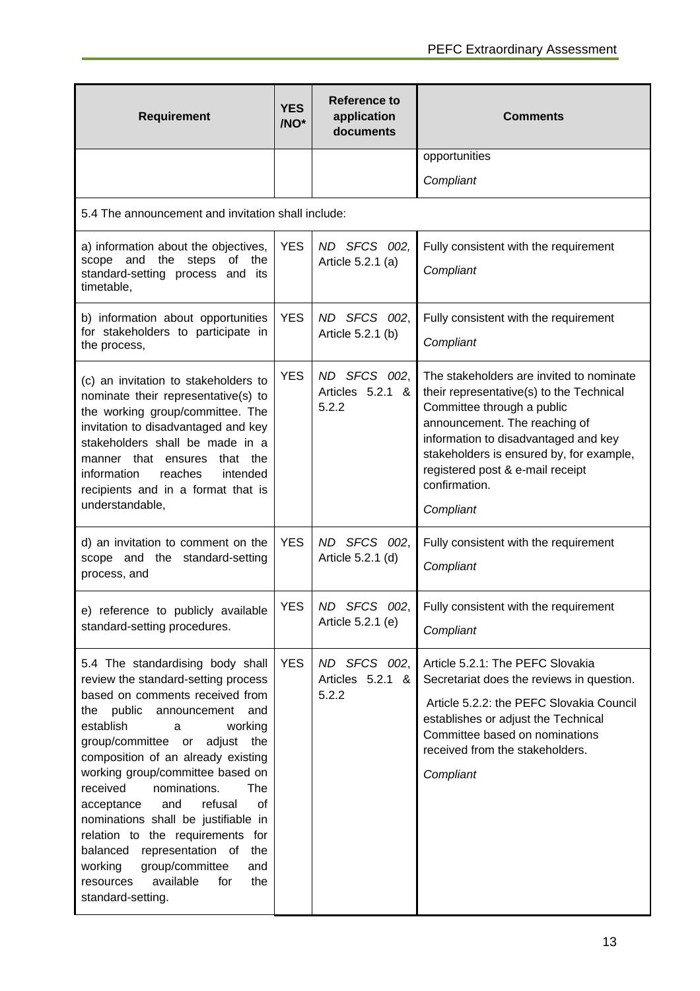| <b>Requirement</b>                                                                                                                                                                                                                                                                                                                                                                                                                                                                                                                                                                             | <b>YES</b><br>/NO* | Reference to<br>application<br>documents  | <b>Comments</b>                                                                                                                                                                                                                                                                                           |
|------------------------------------------------------------------------------------------------------------------------------------------------------------------------------------------------------------------------------------------------------------------------------------------------------------------------------------------------------------------------------------------------------------------------------------------------------------------------------------------------------------------------------------------------------------------------------------------------|--------------------|-------------------------------------------|-----------------------------------------------------------------------------------------------------------------------------------------------------------------------------------------------------------------------------------------------------------------------------------------------------------|
|                                                                                                                                                                                                                                                                                                                                                                                                                                                                                                                                                                                                |                    |                                           | opportunities                                                                                                                                                                                                                                                                                             |
|                                                                                                                                                                                                                                                                                                                                                                                                                                                                                                                                                                                                |                    |                                           | Compliant                                                                                                                                                                                                                                                                                                 |
| 5.4 The announcement and invitation shall include:                                                                                                                                                                                                                                                                                                                                                                                                                                                                                                                                             |                    |                                           |                                                                                                                                                                                                                                                                                                           |
| a) information about the objectives,<br>scope and the steps of<br>the<br>standard-setting process and its<br>timetable,                                                                                                                                                                                                                                                                                                                                                                                                                                                                        | <b>YES</b>         | ND SFCS 002,<br>Article 5.2.1 (a)         | Fully consistent with the requirement<br>Compliant                                                                                                                                                                                                                                                        |
| b) information about opportunities<br>for stakeholders to participate in<br>the process,                                                                                                                                                                                                                                                                                                                                                                                                                                                                                                       | <b>YES</b>         | ND SFCS 002,<br>Article 5.2.1 (b)         | Fully consistent with the requirement<br>Compliant                                                                                                                                                                                                                                                        |
| (c) an invitation to stakeholders to<br>nominate their representative(s) to<br>the working group/committee. The<br>invitation to disadvantaged and key<br>stakeholders shall be made in a<br>manner that ensures<br>that the<br>information<br>reaches<br>intended<br>recipients and in a format that is<br>understandable,                                                                                                                                                                                                                                                                    | <b>YES</b>         | ND SFCS 002,<br>Articles 5.2.1 &<br>5.2.2 | The stakeholders are invited to nominate<br>their representative(s) to the Technical<br>Committee through a public<br>announcement. The reaching of<br>information to disadvantaged and key<br>stakeholders is ensured by, for example,<br>registered post & e-mail receipt<br>confirmation.<br>Compliant |
| d) an invitation to comment on the<br>scope and the standard-setting<br>process, and                                                                                                                                                                                                                                                                                                                                                                                                                                                                                                           | <b>YES</b>         | ND SFCS 002,<br>Article 5.2.1 (d)         | Fully consistent with the requirement<br>Compliant                                                                                                                                                                                                                                                        |
| e) reference to publicly available<br>standard-setting procedures.                                                                                                                                                                                                                                                                                                                                                                                                                                                                                                                             | <b>YES</b>         | ND SFCS 002,<br>Article 5.2.1 (e)         | Fully consistent with the requirement<br>Compliant                                                                                                                                                                                                                                                        |
| 5.4 The standardising body shall<br>review the standard-setting process<br>based on comments received from<br>public<br>the<br>announcement<br>and<br>establish<br>working<br>a<br>group/committee or<br>adjust<br>the<br>composition of an already existing<br>working group/committee based on<br>received<br>nominations.<br>The<br>refusal<br>and<br>οf<br>acceptance<br>nominations shall be justifiable in<br>relation to the requirements for<br>balanced<br>representation of<br>the<br>group/committee<br>working<br>and<br>available<br>for<br>the<br>resources<br>standard-setting. | <b>YES</b>         | ND SFCS 002,<br>Articles 5.2.1 &<br>5.2.2 | Article 5.2.1: The PEFC Slovakia<br>Secretariat does the reviews in question.<br>Article 5.2.2: the PEFC Slovakia Council<br>establishes or adjust the Technical<br>Committee based on nominations<br>received from the stakeholders.<br>Compliant                                                        |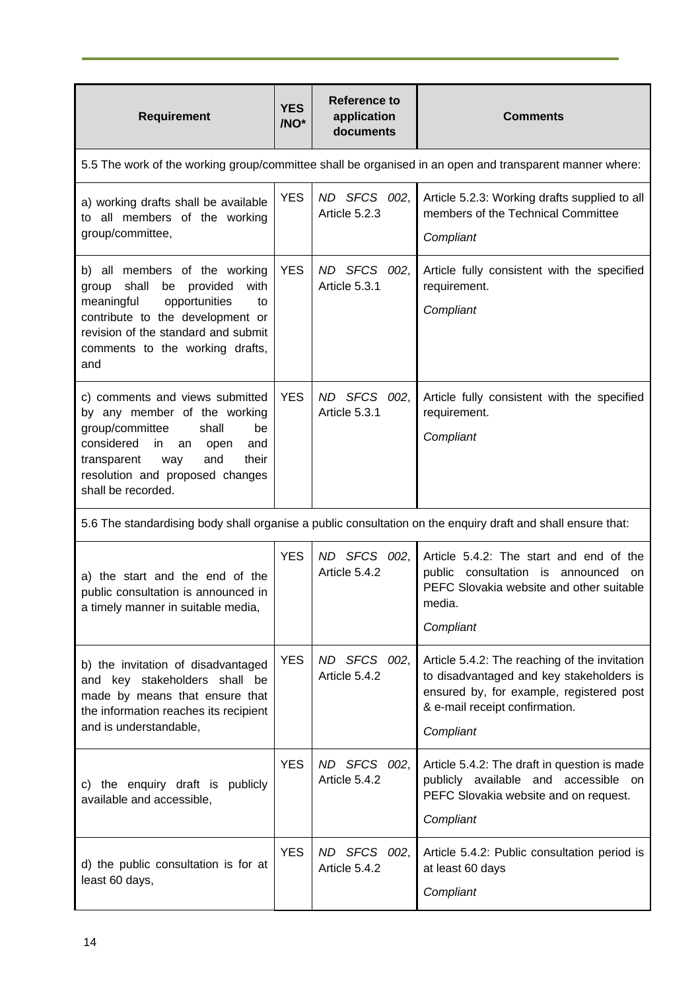| <b>Requirement</b>                                                                                                                                                                                                                         | <b>YES</b><br>/NO* | <b>Reference to</b><br>application<br>documents | <b>Comments</b>                                                                                                                                                                      |
|--------------------------------------------------------------------------------------------------------------------------------------------------------------------------------------------------------------------------------------------|--------------------|-------------------------------------------------|--------------------------------------------------------------------------------------------------------------------------------------------------------------------------------------|
|                                                                                                                                                                                                                                            |                    |                                                 | 5.5 The work of the working group/committee shall be organised in an open and transparent manner where:                                                                              |
| a) working drafts shall be available<br>to all members of the working<br>group/committee,                                                                                                                                                  | <b>YES</b>         | ND SFCS 002,<br>Article 5.2.3                   | Article 5.2.3: Working drafts supplied to all<br>members of the Technical Committee<br>Compliant                                                                                     |
| b) all members of the working<br>shall<br>be provided<br>with<br>group<br>meaningful<br>opportunities<br>to<br>contribute to the development or<br>revision of the standard and submit<br>comments to the working drafts,<br>and           | <b>YES</b>         | ND SFCS 002,<br>Article 5.3.1                   | Article fully consistent with the specified<br>requirement.<br>Compliant                                                                                                             |
| c) comments and views submitted<br>by any member of the working<br>group/committee<br>shall<br>be<br>considered<br>in.<br>an<br>and<br>open<br>and<br>their<br>transparent<br>way<br>resolution and proposed changes<br>shall be recorded. | <b>YES</b>         | ND SFCS 002,<br>Article 5.3.1                   | Article fully consistent with the specified<br>requirement.<br>Compliant                                                                                                             |
|                                                                                                                                                                                                                                            |                    |                                                 | 5.6 The standardising body shall organise a public consultation on the enquiry draft and shall ensure that:                                                                          |
| a) the start and the end of the<br>public consultation is announced in<br>a timely manner in suitable media,                                                                                                                               | <b>YES</b>         | ND SFCS 002,<br>Article 5.4.2                   | Article 5.4.2: The start and end of the<br>public consultation is announced<br>on<br>PEFC Slovakia website and other suitable<br>media.<br>Compliant                                 |
| b) the invitation of disadvantaged<br>and key stakeholders shall be<br>made by means that ensure that<br>the information reaches its recipient<br>and is understandable,                                                                   | <b>YES</b>         | ND SFCS 002,<br>Article 5.4.2                   | Article 5.4.2: The reaching of the invitation<br>to disadvantaged and key stakeholders is<br>ensured by, for example, registered post<br>& e-mail receipt confirmation.<br>Compliant |
| c) the enquiry draft is publicly<br>available and accessible,                                                                                                                                                                              | <b>YES</b>         | ND SFCS 002,<br>Article 5.4.2                   | Article 5.4.2: The draft in question is made<br>publicly available and accessible on<br>PEFC Slovakia website and on request.<br>Compliant                                           |
| d) the public consultation is for at<br>least 60 days,                                                                                                                                                                                     | <b>YES</b>         | ND SFCS 002,<br>Article 5.4.2                   | Article 5.4.2: Public consultation period is<br>at least 60 days<br>Compliant                                                                                                        |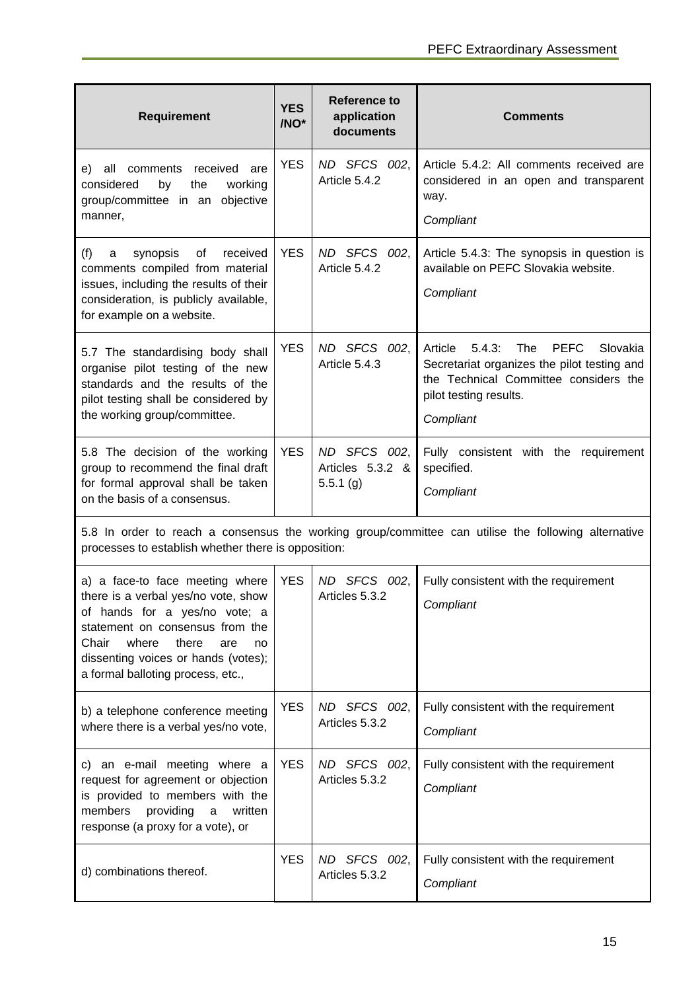| <b>Requirement</b>                                                                                                                                                                                                                                             | <b>YES</b><br>/NO* | <b>Reference to</b><br>application<br>documents | <b>Comments</b>                                                                                                                                                                    |  |  |
|----------------------------------------------------------------------------------------------------------------------------------------------------------------------------------------------------------------------------------------------------------------|--------------------|-------------------------------------------------|------------------------------------------------------------------------------------------------------------------------------------------------------------------------------------|--|--|
| comments received<br>e) all<br>are<br>working<br>considered<br>by<br>the<br>group/committee in an objective<br>manner,                                                                                                                                         | <b>YES</b>         | ND SFCS 002,<br>Article 5.4.2                   | Article 5.4.2: All comments received are<br>considered in an open and transparent<br>way.<br>Compliant                                                                             |  |  |
| synopsis<br>of<br>received<br>(f)<br>a<br>comments compiled from material<br>issues, including the results of their<br>consideration, is publicly available,<br>for example on a website.                                                                      | <b>YES</b>         | ND SFCS 002,<br>Article 5.4.2                   | Article 5.4.3: The synopsis in question is<br>available on PEFC Slovakia website.<br>Compliant                                                                                     |  |  |
| 5.7 The standardising body shall<br>organise pilot testing of the new<br>standards and the results of the<br>pilot testing shall be considered by<br>the working group/committee.                                                                              | <b>YES</b>         | ND SFCS 002,<br>Article 5.4.3                   | Article<br>5.4.3:<br>The<br><b>PEFC</b><br>Slovakia<br>Secretariat organizes the pilot testing and<br>the Technical Committee considers the<br>pilot testing results.<br>Compliant |  |  |
| 5.8 The decision of the working<br>group to recommend the final draft<br>for formal approval shall be taken<br>on the basis of a consensus.                                                                                                                    | <b>YES</b>         | ND SFCS 002,<br>Articles 5.3.2 &<br>5.5.1(g)    | Fully consistent with the requirement<br>specified.<br>Compliant                                                                                                                   |  |  |
| 5.8 In order to reach a consensus the working group/committee can utilise the following alternative<br>processes to establish whether there is opposition:                                                                                                     |                    |                                                 |                                                                                                                                                                                    |  |  |
| a) a face-to face meeting where<br>there is a verbal yes/no vote, show<br>of hands for a yes/no vote; a<br>statement on consensus from the<br>Chair<br>where<br>there<br>are<br>no<br>dissenting voices or hands (votes);<br>a formal balloting process, etc., | <b>YES</b>         | ND SFCS 002,<br>Articles 5.3.2                  | Fully consistent with the requirement<br>Compliant                                                                                                                                 |  |  |
| b) a telephone conference meeting<br>where there is a verbal yes/no vote,                                                                                                                                                                                      | <b>YES</b>         | ND SFCS 002,<br>Articles 5.3.2                  | Fully consistent with the requirement<br>Compliant                                                                                                                                 |  |  |
| c) an e-mail meeting where a<br>request for agreement or objection<br>is provided to members with the<br>members<br>providing<br>written<br>a<br>response (a proxy for a vote), or                                                                             | <b>YES</b>         | ND SFCS 002,<br>Articles 5.3.2                  | Fully consistent with the requirement<br>Compliant                                                                                                                                 |  |  |
| d) combinations thereof.                                                                                                                                                                                                                                       | <b>YES</b>         | ND SFCS 002,<br>Articles 5.3.2                  | Fully consistent with the requirement<br>Compliant                                                                                                                                 |  |  |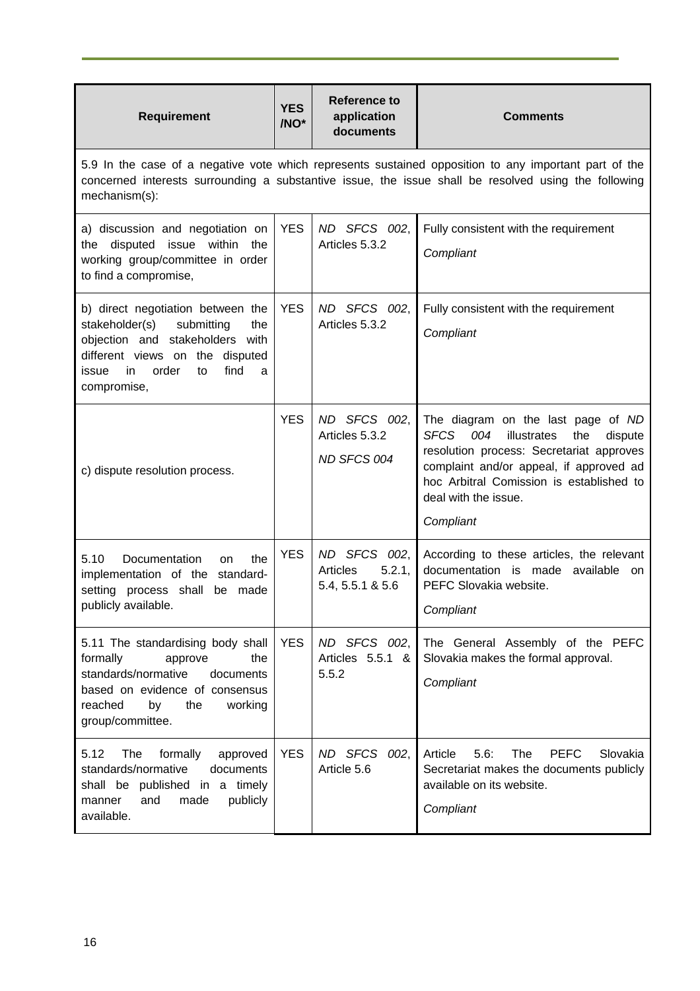| <b>Requirement</b>                                                                                                                                                                                                             | <b>YES</b><br>/NO* | <b>Reference to</b><br>application<br>documents               | <b>Comments</b>                                                                                                                                                                                                                                         |  |  |
|--------------------------------------------------------------------------------------------------------------------------------------------------------------------------------------------------------------------------------|--------------------|---------------------------------------------------------------|---------------------------------------------------------------------------------------------------------------------------------------------------------------------------------------------------------------------------------------------------------|--|--|
| 5.9 In the case of a negative vote which represents sustained opposition to any important part of the<br>concerned interests surrounding a substantive issue, the issue shall be resolved using the following<br>mechanism(s): |                    |                                                               |                                                                                                                                                                                                                                                         |  |  |
| a) discussion and negotiation on<br>disputed issue within<br>the<br>the<br>working group/committee in order<br>to find a compromise,                                                                                           | <b>YES</b>         | ND SFCS 002,<br>Articles 5.3.2                                | Fully consistent with the requirement<br>Compliant                                                                                                                                                                                                      |  |  |
| b) direct negotiation between the<br>stakeholder(s)<br>submitting<br>the<br>objection and stakeholders with<br>different views on the disputed<br>find<br>in<br>order<br>to<br>issue<br>a<br>compromise,                       | <b>YES</b>         | ND SFCS 002,<br>Articles 5.3.2                                | Fully consistent with the requirement<br>Compliant                                                                                                                                                                                                      |  |  |
| c) dispute resolution process.                                                                                                                                                                                                 | <b>YES</b>         | ND SFCS 002,<br>Articles 5.3.2<br>ND SFCS 004                 | The diagram on the last page of ND<br>SFCS 004<br>illustrates<br>dispute<br>the<br>resolution process: Secretariat approves<br>complaint and/or appeal, if approved ad<br>hoc Arbitral Comission is established to<br>deal with the issue.<br>Compliant |  |  |
| 5.10<br>Documentation<br>the<br><b>on</b><br>implementation of the standard-<br>setting process shall be made<br>publicly available.                                                                                           | <b>YES</b>         | ND SFCS 002,<br>5.2.1,<br><b>Articles</b><br>5.4, 5.5.1 & 5.6 | According to these articles, the relevant<br>documentation is made available on<br>PEFC Slovakia website.<br>Compliant                                                                                                                                  |  |  |
| 5.11 The standardising body shall<br>formally<br>approve<br>the<br>standards/normative<br>documents<br>based on evidence of consensus<br>reached<br>by<br>the<br>working<br>group/committee.                                   | <b>YES</b>         | ND SFCS 002,<br>Articles 5.5.1 &<br>5.5.2                     | The General Assembly of the PEFC<br>Slovakia makes the formal approval.<br>Compliant                                                                                                                                                                    |  |  |
| 5.12<br>The<br>formally<br>approved<br>standards/normative<br>documents<br>shall be published in a timely<br>and<br>made<br>publicly<br>manner<br>available.                                                                   | <b>YES</b>         | ND SFCS 002,<br>Article 5.6                                   | Article<br>5.6:<br>The<br><b>PEFC</b><br>Slovakia<br>Secretariat makes the documents publicly<br>available on its website.<br>Compliant                                                                                                                 |  |  |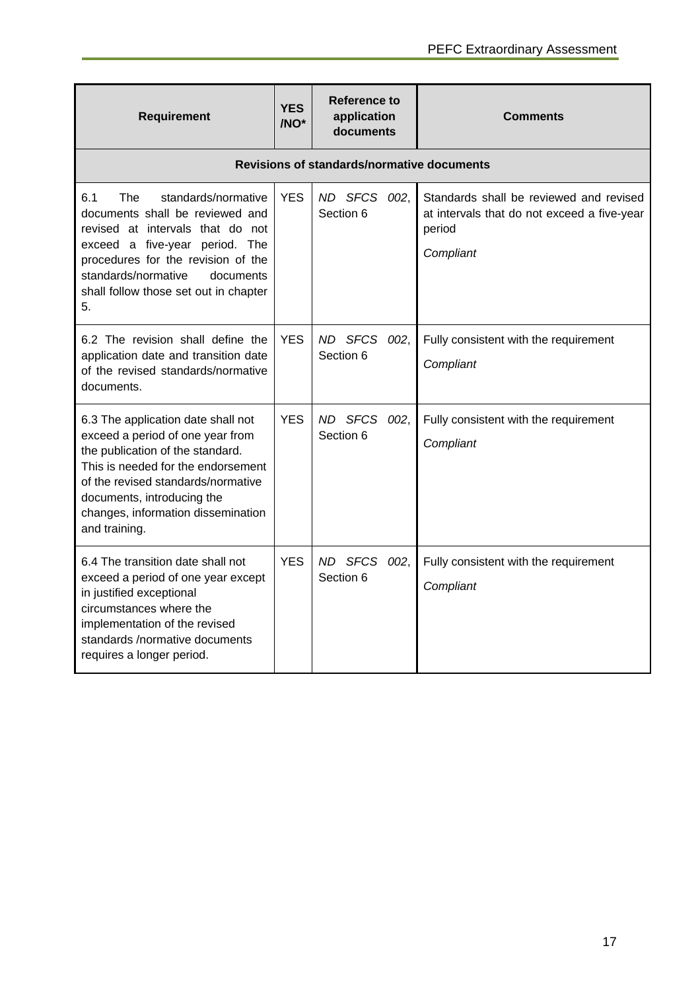| <b>Requirement</b>                                                                                                                                                                                                                                                          | <b>YES</b><br>/NO <sup>*</sup> | Reference to<br>application<br>documents          | <b>Comments</b>                                                                                               |
|-----------------------------------------------------------------------------------------------------------------------------------------------------------------------------------------------------------------------------------------------------------------------------|--------------------------------|---------------------------------------------------|---------------------------------------------------------------------------------------------------------------|
|                                                                                                                                                                                                                                                                             |                                | <b>Revisions of standards/normative documents</b> |                                                                                                               |
| 6.1<br>The<br>standards/normative<br>documents shall be reviewed and<br>revised at intervals that do not<br>exceed a five-year period. The<br>procedures for the revision of the<br>standards/normative<br>documents<br>shall follow those set out in chapter<br>5.         | <b>YES</b>                     | ND SFCS 002,<br>Section 6                         | Standards shall be reviewed and revised<br>at intervals that do not exceed a five-year<br>period<br>Compliant |
| 6.2 The revision shall define the<br>application date and transition date<br>of the revised standards/normative<br>documents.                                                                                                                                               | <b>YES</b>                     | ND SFCS<br>002.<br>Section 6                      | Fully consistent with the requirement<br>Compliant                                                            |
| 6.3 The application date shall not<br>exceed a period of one year from<br>the publication of the standard.<br>This is needed for the endorsement<br>of the revised standards/normative<br>documents, introducing the<br>changes, information dissemination<br>and training. | <b>YES</b>                     | ND SFCS 002,<br>Section 6                         | Fully consistent with the requirement<br>Compliant                                                            |
| 6.4 The transition date shall not<br>exceed a period of one year except<br>in justified exceptional<br>circumstances where the<br>implementation of the revised<br>standards /normative documents<br>requires a longer period.                                              | <b>YES</b>                     | ND SFCS 002,<br>Section 6                         | Fully consistent with the requirement<br>Compliant                                                            |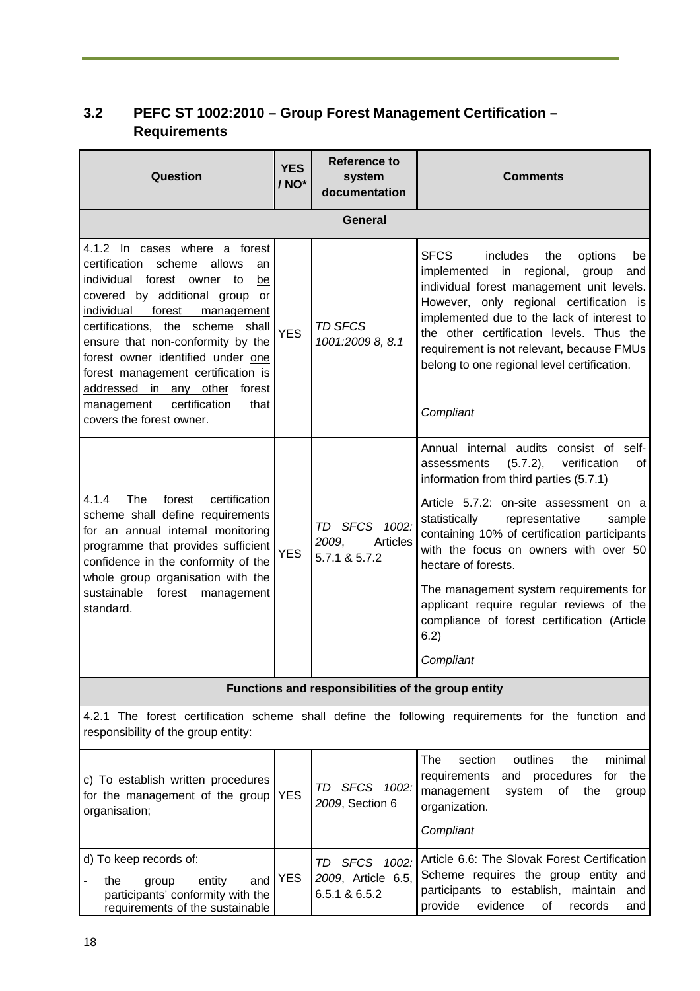# **3.2 PEFC ST 1002:2010 – Group Forest Management Certification – Requirements**

| <b>Question</b>                                                                                                                                                                                                                                                                                                                                                                                                                                    | <b>YES</b><br>/ NO* | <b>Reference to</b><br>system<br>documentation                     | <b>Comments</b>                                                                                                                                                                                                                                                                                                                                                                                                                                                                                     |
|----------------------------------------------------------------------------------------------------------------------------------------------------------------------------------------------------------------------------------------------------------------------------------------------------------------------------------------------------------------------------------------------------------------------------------------------------|---------------------|--------------------------------------------------------------------|-----------------------------------------------------------------------------------------------------------------------------------------------------------------------------------------------------------------------------------------------------------------------------------------------------------------------------------------------------------------------------------------------------------------------------------------------------------------------------------------------------|
|                                                                                                                                                                                                                                                                                                                                                                                                                                                    |                     | <b>General</b>                                                     |                                                                                                                                                                                                                                                                                                                                                                                                                                                                                                     |
| 4.1.2 In cases where a forest<br>certification<br>scheme<br>allows<br>an<br>individual forest owner to<br>be<br>covered by additional group or<br>individual<br>forest<br>management<br>the scheme shall<br>certifications,<br>ensure that non-conformity by the<br>forest owner identified under one<br>forest management certification is<br>addressed in any other<br>forest<br>certification<br>management<br>that<br>covers the forest owner. | <b>YES</b>          | <b>TD SFCS</b><br>1001:2009 8, 8.1                                 | <b>SFCS</b><br>includes<br>the<br>options<br>be<br>implemented in regional,<br>group<br>and<br>individual forest management unit levels.<br>However, only regional certification is<br>implemented due to the lack of interest to<br>the other certification levels. Thus the<br>requirement is not relevant, because FMUs<br>belong to one regional level certification.<br>Compliant                                                                                                              |
| <b>The</b><br>certification<br>4.1.4<br>forest<br>scheme shall define requirements<br>for an annual internal monitoring<br>programme that provides sufficient<br>confidence in the conformity of the<br>whole group organisation with the<br>sustainable<br>forest<br>management<br>standard.                                                                                                                                                      | <b>YES</b>          | TD SFCS 1002:<br>2009,<br>Articles<br>5.7.1 & 5.7.2                | Annual internal audits consist of self-<br>(5.7.2),<br>verification<br>assessments<br>οf<br>information from third parties (5.7.1)<br>Article 5.7.2: on-site assessment on a<br>statistically<br>representative<br>sample<br>containing 10% of certification participants<br>with the focus on owners with over 50<br>hectare of forests.<br>The management system requirements for<br>applicant require regular reviews of the<br>compliance of forest certification (Article<br>6.2)<br>Compliant |
|                                                                                                                                                                                                                                                                                                                                                                                                                                                    |                     | Functions and responsibilities of the group entity                 |                                                                                                                                                                                                                                                                                                                                                                                                                                                                                                     |
| responsibility of the group entity:                                                                                                                                                                                                                                                                                                                                                                                                                |                     |                                                                    | 4.2.1 The forest certification scheme shall define the following requirements for the function and                                                                                                                                                                                                                                                                                                                                                                                                  |
| c) To establish written procedures<br>for the management of the group<br>organisation;                                                                                                                                                                                                                                                                                                                                                             | <b>YES</b>          | TD SFCS 1002:<br>2009, Section 6                                   | The<br>section<br>outlines<br>the<br>minimal<br>and procedures<br>requirements<br>for the<br>management<br>system<br>of<br>the<br>group<br>organization.<br>Compliant                                                                                                                                                                                                                                                                                                                               |
| d) To keep records of:<br>entity<br>the<br>group<br>and<br>participants' conformity with the<br>requirements of the sustainable                                                                                                                                                                                                                                                                                                                    | <b>YES</b>          | <b>SFCS</b><br>1002:<br>TD.<br>2009, Article 6.5,<br>6.5.1 & 6.5.2 | Article 6.6: The Slovak Forest Certification<br>Scheme requires the group entity and<br>participants to establish, maintain<br>and<br>provide<br>evidence<br>οf<br>records<br>and                                                                                                                                                                                                                                                                                                                   |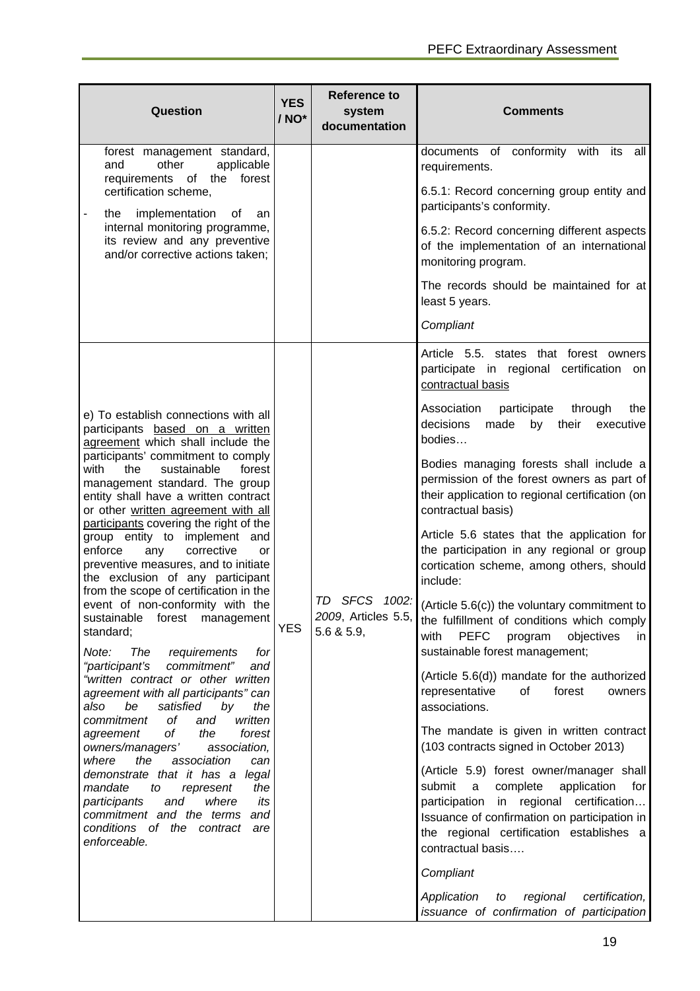| Question                                                                                                                                                                                                                            | <b>YES</b><br>/ NO* | <b>Reference to</b><br>system<br>documentation | <b>Comments</b>                                                                                                                                                |                                                                                                                                                                                                                                                                     |
|-------------------------------------------------------------------------------------------------------------------------------------------------------------------------------------------------------------------------------------|---------------------|------------------------------------------------|----------------------------------------------------------------------------------------------------------------------------------------------------------------|---------------------------------------------------------------------------------------------------------------------------------------------------------------------------------------------------------------------------------------------------------------------|
| forest management standard,<br>other<br>applicable<br>and<br>requirements of the<br>forest                                                                                                                                          |                     |                                                | documents of conformity<br>with its<br>all<br>requirements.                                                                                                    |                                                                                                                                                                                                                                                                     |
| certification scheme,<br>implementation<br>the<br>of<br>an                                                                                                                                                                          |                     |                                                | 6.5.1: Record concerning group entity and<br>participants's conformity.                                                                                        |                                                                                                                                                                                                                                                                     |
| internal monitoring programme,<br>its review and any preventive<br>and/or corrective actions taken;                                                                                                                                 |                     |                                                | 6.5.2: Record concerning different aspects<br>of the implementation of an international<br>monitoring program.                                                 |                                                                                                                                                                                                                                                                     |
|                                                                                                                                                                                                                                     |                     |                                                | The records should be maintained for at<br>least 5 years.                                                                                                      |                                                                                                                                                                                                                                                                     |
|                                                                                                                                                                                                                                     |                     |                                                | Compliant                                                                                                                                                      |                                                                                                                                                                                                                                                                     |
|                                                                                                                                                                                                                                     |                     |                                                | Article 5.5. states that forest owners<br>participate in regional certification<br>on<br>contractual basis                                                     |                                                                                                                                                                                                                                                                     |
| e) To establish connections with all<br>participants based on a written<br>agreement which shall include the                                                                                                                        |                     |                                                |                                                                                                                                                                | Association<br>participate<br>through<br>the<br>decisions<br>made<br>by<br>their<br>executive<br>bodies                                                                                                                                                             |
| participants' commitment to comply<br>with<br>the<br>sustainable<br>forest<br>management standard. The group<br>entity shall have a written contract<br>or other written agreement with all                                         |                     |                                                | Bodies managing forests shall include a<br>permission of the forest owners as part of<br>their application to regional certification (on<br>contractual basis) |                                                                                                                                                                                                                                                                     |
| participants covering the right of the<br>group entity to implement and<br>enforce<br>corrective<br>any<br>or<br>preventive measures, and to initiate<br>the exclusion of any participant<br>from the scope of certification in the | <b>YES</b>          |                                                | <b>TD</b><br><b>SFCS</b><br>2009, Articles 5.5,<br>5.6 & 5.9,                                                                                                  | Article 5.6 states that the application for<br>the participation in any regional or group<br>cortication scheme, among others, should<br>include:                                                                                                                   |
| event of non-conformity with the<br>sustainable<br>forest management<br>standard;<br>Note:<br>The<br>requirements<br>for                                                                                                            |                     |                                                |                                                                                                                                                                | $1002$ : (Article 5.6(c)) the voluntary commitment to<br>the fulfillment of conditions which comply<br><b>PEFC</b><br>objectives<br>with<br>program<br>in I<br>sustainable forest management;                                                                       |
| "participant's<br>commitment"<br>and<br>"written contract or other written<br>agreement with all participants" can<br>satisfied<br>also<br>be<br>by<br>the                                                                          |                     |                                                | (Article 5.6(d)) mandate for the authorized<br>representative<br>of<br>forest<br>owners<br>associations.                                                       |                                                                                                                                                                                                                                                                     |
| оf<br>commitment<br>and<br>written<br>of<br>the<br>forest<br>agreement<br>owners/managers'<br>association,                                                                                                                          | can<br>its          |                                                |                                                                                                                                                                | The mandate is given in written contract<br>(103 contracts signed in October 2013)                                                                                                                                                                                  |
| where<br>the<br>association<br>demonstrate that it has a legal<br>mandate<br>the<br>to<br>represent<br>where<br>participants<br>and<br>commitment and the terms<br>and<br>conditions of the contract<br>are<br>enforceable.         |                     |                                                |                                                                                                                                                                | (Article 5.9) forest owner/manager shall<br>submit<br>$\mathsf{a}$<br>complete<br>application<br>for<br>in regional certification<br>participation<br>Issuance of confirmation on participation in<br>the regional certification establishes a<br>contractual basis |
|                                                                                                                                                                                                                                     |                     |                                                | Compliant<br>Application<br>regional<br>certification,<br>to                                                                                                   |                                                                                                                                                                                                                                                                     |
|                                                                                                                                                                                                                                     |                     |                                                | issuance of confirmation of participation                                                                                                                      |                                                                                                                                                                                                                                                                     |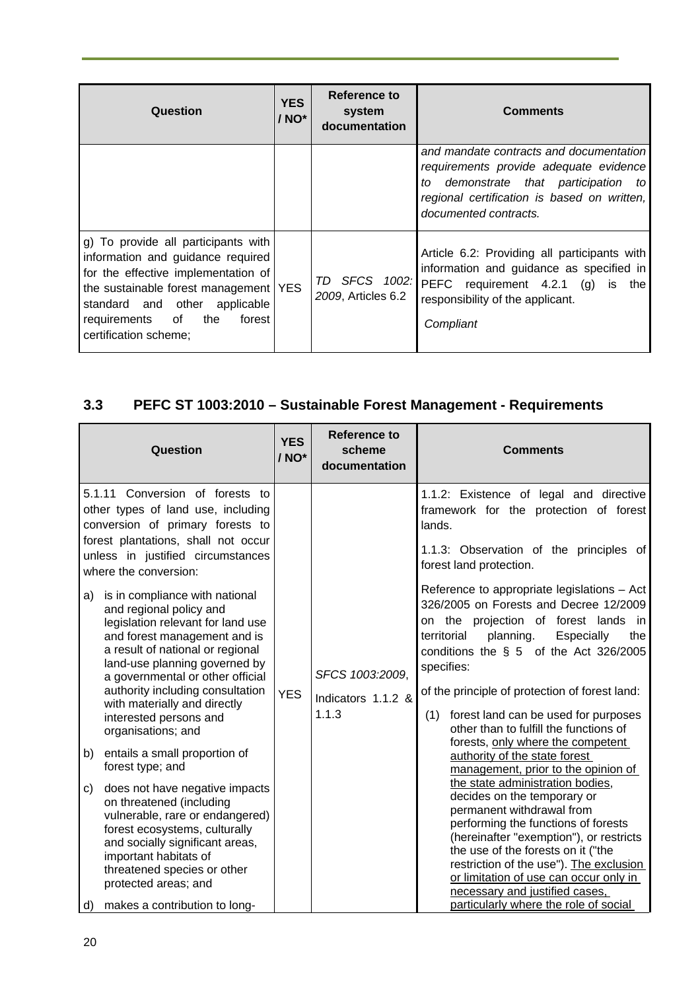| <b>Question</b>                                                                                                                                                                                                                                                | <b>YES</b><br>/ NO* | Reference to<br>system                  | <b>Comments</b>                                                                                                                                                                                      |
|----------------------------------------------------------------------------------------------------------------------------------------------------------------------------------------------------------------------------------------------------------------|---------------------|-----------------------------------------|------------------------------------------------------------------------------------------------------------------------------------------------------------------------------------------------------|
|                                                                                                                                                                                                                                                                |                     | documentation                           |                                                                                                                                                                                                      |
|                                                                                                                                                                                                                                                                |                     |                                         | and mandate contracts and documentation<br>requirements provide adequate evidence<br>demonstrate that participation to<br>to<br>regional certification is based on written,<br>documented contracts. |
| g) To provide all participants with<br>information and guidance required<br>for the effective implementation of<br>the sustainable forest management   YES<br>standard and other<br>applicable<br>requirements<br>of<br>the<br>forest<br>certification scheme; |                     | SFCS 1002:<br>TD.<br>2009, Articles 6.2 | Article 6.2: Providing all participants with<br>information and guidance as specified in<br>PEFC requirement 4.2.1 (g)<br>is the<br>responsibility of the applicant.<br>Compliant                    |

# **3.3 PEFC ST 1003:2010 – Sustainable Forest Management - Requirements**

| Question                                                                                                                                                                                                                                                                                                                  | <b>YES</b><br>/ NO* | <b>Reference to</b><br>scheme<br>documentation | <b>Comments</b>                       |                                                                                                                                                                           |  |                                                                                                                                                                             |  |  |  |  |  |  |                                                                                                                                                                                                                                                                                                                                             |  |  |                                                                                                                                                                                                                                                                                   |  |  |  |  |  |  |  |  |  |  |  |  |  |  |
|---------------------------------------------------------------------------------------------------------------------------------------------------------------------------------------------------------------------------------------------------------------------------------------------------------------------------|---------------------|------------------------------------------------|---------------------------------------|---------------------------------------------------------------------------------------------------------------------------------------------------------------------------|--|-----------------------------------------------------------------------------------------------------------------------------------------------------------------------------|--|--|--|--|--|--|---------------------------------------------------------------------------------------------------------------------------------------------------------------------------------------------------------------------------------------------------------------------------------------------------------------------------------------------|--|--|-----------------------------------------------------------------------------------------------------------------------------------------------------------------------------------------------------------------------------------------------------------------------------------|--|--|--|--|--|--|--|--|--|--|--|--|--|--|
| 5.1.11 Conversion of forests to<br>other types of land use, including<br>conversion of primary forests to<br>forest plantations, shall not occur<br>unless in justified circumstances<br>where the conversion:<br>is in compliance with national<br>a)                                                                    | <b>YES</b>          |                                                |                                       | lands.<br>forest land protection.<br>planning.<br>territorial<br>specifies:<br>SFCS 1003:2009.<br>Indicators 1.1.2 &<br>1.1.3<br>(1)<br>forests, only where the competent |  | 1.1.2: Existence of legal and directive<br>framework for the protection of forest<br>1.1.3: Observation of the principles of<br>Reference to appropriate legislations - Act |  |  |  |  |  |  |                                                                                                                                                                                                                                                                                                                                             |  |  |                                                                                                                                                                                                                                                                                   |  |  |  |  |  |  |  |  |  |  |  |  |  |  |
| and regional policy and<br>legislation relevant for land use<br>and forest management and is<br>a result of national or regional<br>land-use planning governed by<br>a governmental or other official<br>authority including consultation<br>with materially and directly<br>interested persons and<br>organisations; and |                     |                                                |                                       |                                                                                                                                                                           |  |                                                                                                                                                                             |  |  |  |  |  |  |                                                                                                                                                                                                                                                                                                                                             |  |  | 326/2005 on Forests and Decree 12/2009<br>on the projection of forest lands in<br>Especially<br>the<br>conditions the § 5 of the Act 326/2005<br>of the principle of protection of forest land:<br>forest land can be used for purposes<br>other than to fulfill the functions of |  |  |  |  |  |  |  |  |  |  |  |  |  |  |
| b)<br>entails a small proportion of<br>forest type; and                                                                                                                                                                                                                                                                   |                     |                                                |                                       |                                                                                                                                                                           |  |                                                                                                                                                                             |  |  |  |  |  |  |                                                                                                                                                                                                                                                                                                                                             |  |  |                                                                                                                                                                                                                                                                                   |  |  |  |  |  |  |  |  |  |  |  |  |  |  |
| does not have negative impacts<br>c)<br>on threatened (including<br>vulnerable, rare or endangered)<br>forest ecosystems, culturally<br>and socially significant areas,<br>important habitats of<br>threatened species or other<br>protected areas; and                                                                   |                     |                                                |                                       |                                                                                                                                                                           |  |                                                                                                                                                                             |  |  |  |  |  |  | the state administration bodies,<br>decides on the temporary or<br>permanent withdrawal from<br>performing the functions of forests<br>(hereinafter "exemption"), or restricts<br>the use of the forests on it ("the<br>restriction of the use"). The exclusion<br>or limitation of use can occur only in<br>necessary and justified cases, |  |  |                                                                                                                                                                                                                                                                                   |  |  |  |  |  |  |  |  |  |  |  |  |  |  |
| d)<br>makes a contribution to long-                                                                                                                                                                                                                                                                                       |                     |                                                | particularly where the role of social |                                                                                                                                                                           |  |                                                                                                                                                                             |  |  |  |  |  |  |                                                                                                                                                                                                                                                                                                                                             |  |  |                                                                                                                                                                                                                                                                                   |  |  |  |  |  |  |  |  |  |  |  |  |  |  |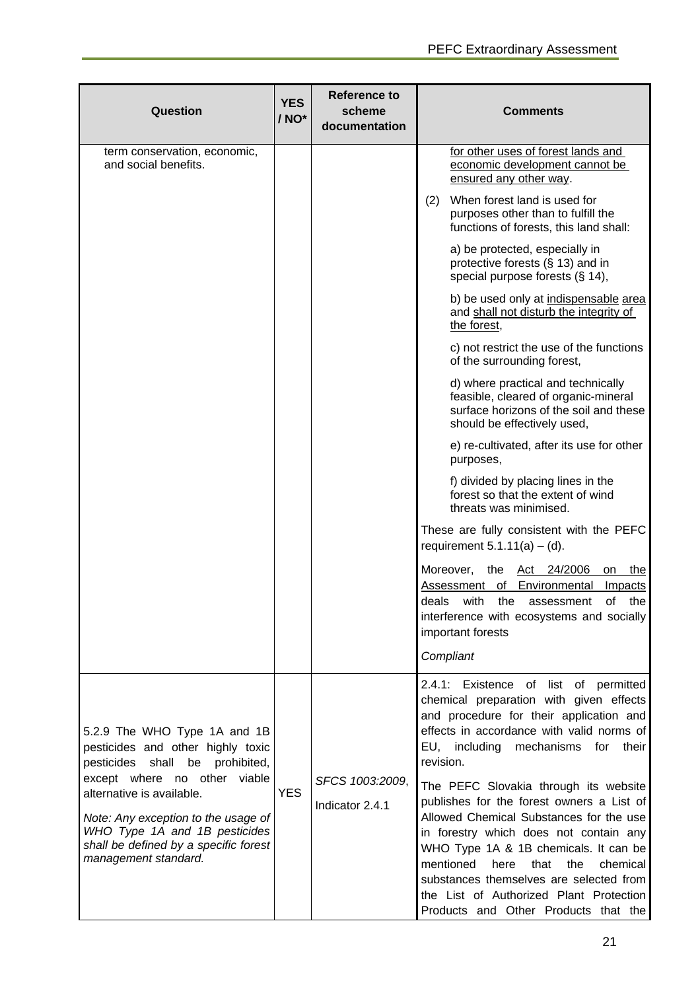| Question                                                                                                                                                           | <b>YES</b><br>/ NO* | <b>Reference to</b><br>scheme<br>documentation | <b>Comments</b>                                                                                                                                                                                                                                                                                                                                                                                |
|--------------------------------------------------------------------------------------------------------------------------------------------------------------------|---------------------|------------------------------------------------|------------------------------------------------------------------------------------------------------------------------------------------------------------------------------------------------------------------------------------------------------------------------------------------------------------------------------------------------------------------------------------------------|
| term conservation, economic,<br>and social benefits.                                                                                                               |                     |                                                | for other uses of forest lands and<br>economic development cannot be<br>ensured any other way.                                                                                                                                                                                                                                                                                                 |
|                                                                                                                                                                    |                     |                                                | When forest land is used for<br>(2)<br>purposes other than to fulfill the<br>functions of forests, this land shall:                                                                                                                                                                                                                                                                            |
|                                                                                                                                                                    |                     |                                                | a) be protected, especially in<br>protective forests (§ 13) and in<br>special purpose forests (§ 14),                                                                                                                                                                                                                                                                                          |
|                                                                                                                                                                    |                     |                                                | b) be used only at indispensable area<br>and shall not disturb the integrity of<br>the forest,                                                                                                                                                                                                                                                                                                 |
|                                                                                                                                                                    |                     |                                                | c) not restrict the use of the functions<br>of the surrounding forest,                                                                                                                                                                                                                                                                                                                         |
|                                                                                                                                                                    |                     |                                                | d) where practical and technically<br>feasible, cleared of organic-mineral<br>surface horizons of the soil and these<br>should be effectively used,                                                                                                                                                                                                                                            |
|                                                                                                                                                                    |                     |                                                | e) re-cultivated, after its use for other<br>purposes,                                                                                                                                                                                                                                                                                                                                         |
|                                                                                                                                                                    |                     |                                                | f) divided by placing lines in the<br>forest so that the extent of wind<br>threats was minimised.                                                                                                                                                                                                                                                                                              |
|                                                                                                                                                                    |                     |                                                | These are fully consistent with the PEFC<br>requirement $5.1.11(a) - (d)$ .                                                                                                                                                                                                                                                                                                                    |
|                                                                                                                                                                    |                     |                                                | Moreover,<br>the<br>Act 24/2006<br>the<br>on<br>Assessment<br>of<br>Environmental<br><b>Impacts</b><br>deals<br>with<br>the<br>of<br>the<br>assessment<br>interference with ecosystems and socially<br>important forests<br>Compliant                                                                                                                                                          |
|                                                                                                                                                                    |                     |                                                | 2.4.1: Existence of list of permitted                                                                                                                                                                                                                                                                                                                                                          |
| 5.2.9 The WHO Type 1A and 1B<br>pesticides and other highly toxic<br>pesticides shall be prohibited,<br>except where no other viable                               |                     |                                                | chemical preparation with given effects<br>and procedure for their application and<br>effects in accordance with valid norms of<br>EU, including mechanisms<br>for<br>their<br>revision.                                                                                                                                                                                                       |
| alternative is available.<br>Note: Any exception to the usage of<br>WHO Type 1A and 1B pesticides<br>shall be defined by a specific forest<br>management standard. | <b>YES</b>          | SFCS 1003:2009,<br>Indicator 2.4.1             | The PEFC Slovakia through its website<br>publishes for the forest owners a List of<br>Allowed Chemical Substances for the use<br>in forestry which does not contain any<br>WHO Type 1A & 1B chemicals. It can be<br>mentioned<br>here<br>that<br>the<br>chemical<br>substances themselves are selected from<br>the List of Authorized Plant Protection<br>Products and Other Products that the |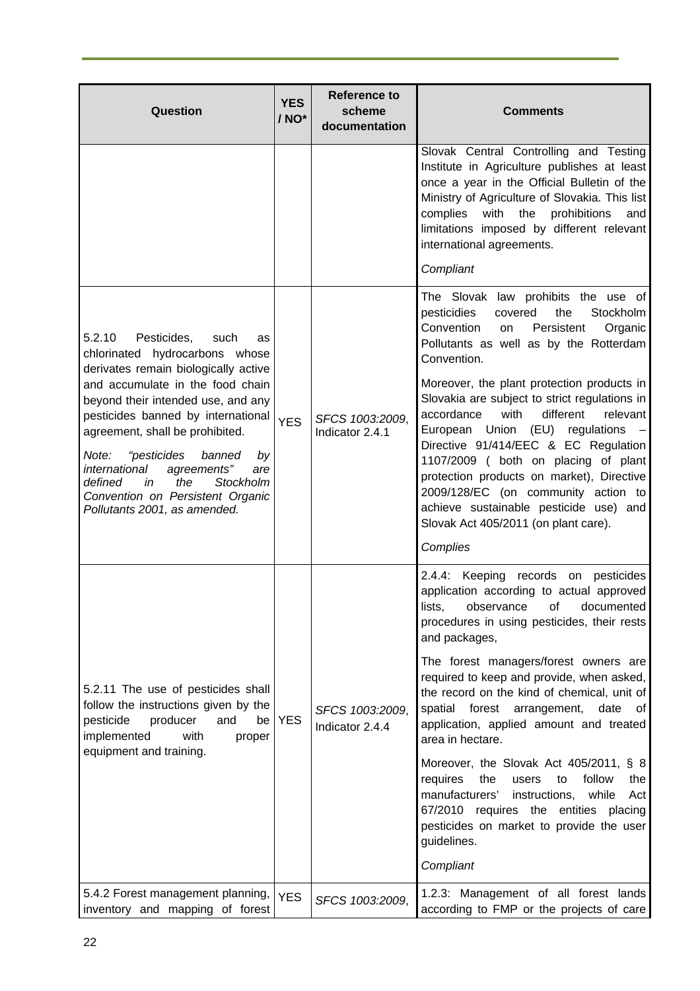| Question                                                                                                                                                                                                                                                                                                                                | <b>YES</b><br>/ NO* | Reference to<br>scheme<br>documentation | <b>Comments</b>                                                                                                                                                                                                                                                                                                                                                                                                                     |
|-----------------------------------------------------------------------------------------------------------------------------------------------------------------------------------------------------------------------------------------------------------------------------------------------------------------------------------------|---------------------|-----------------------------------------|-------------------------------------------------------------------------------------------------------------------------------------------------------------------------------------------------------------------------------------------------------------------------------------------------------------------------------------------------------------------------------------------------------------------------------------|
|                                                                                                                                                                                                                                                                                                                                         |                     |                                         | Slovak Central Controlling and Testing<br>Institute in Agriculture publishes at least<br>once a year in the Official Bulletin of the<br>Ministry of Agriculture of Slovakia. This list<br>with<br>the<br>complies<br>prohibitions<br>and<br>limitations imposed by different relevant<br>international agreements.                                                                                                                  |
|                                                                                                                                                                                                                                                                                                                                         |                     |                                         | Compliant                                                                                                                                                                                                                                                                                                                                                                                                                           |
| 5.2.10<br>Pesticides,<br>such<br>as<br>chlorinated hydrocarbons whose<br>derivates remain biologically active                                                                                                                                                                                                                           |                     |                                         | The Slovak law prohibits the use of<br>Stockholm<br>pesticidies<br>covered<br>the<br>Convention<br>Persistent<br>Organic<br>on<br>Pollutants as well as by the Rotterdam<br>Convention.                                                                                                                                                                                                                                             |
| and accumulate in the food chain<br>beyond their intended use, and any<br>pesticides banned by international<br>agreement, shall be prohibited.<br>"pesticides<br>Note:<br>banned<br>by<br>international<br>agreements"<br>are<br>the<br>defined<br>in<br>Stockholm<br>Convention on Persistent Organic<br>Pollutants 2001, as amended. | <b>YES</b>          | SFCS 1003:2009,<br>Indicator 2.4.1      | Moreover, the plant protection products in<br>Slovakia are subject to strict regulations in<br>with<br>different<br>relevant<br>accordance<br>European Union (EU) regulations<br>Directive 91/414/EEC & EC Regulation<br>1107/2009 ( both on placing of plant<br>protection products on market), Directive<br>2009/128/EC (on community action to<br>achieve sustainable pesticide use) and<br>Slovak Act 405/2011 (on plant care). |
|                                                                                                                                                                                                                                                                                                                                         |                     |                                         | Complies                                                                                                                                                                                                                                                                                                                                                                                                                            |
|                                                                                                                                                                                                                                                                                                                                         |                     |                                         | 2.4.4: Keeping records on pesticides<br>application according to actual approved<br>lists,<br>observance<br>Οf<br>documented<br>procedures in using pesticides, their rests<br>and packages,                                                                                                                                                                                                                                        |
| 5.2.11 The use of pesticides shall<br>follow the instructions given by the<br>producer<br>pesticide<br>and<br>be<br>implemented<br>with<br>proper                                                                                                                                                                                       | <b>YES</b>          | SFCS 1003:2009,<br>Indicator 2.4.4      | The forest managers/forest owners are<br>required to keep and provide, when asked,<br>the record on the kind of chemical, unit of<br>spatial forest<br>arrangement,<br>date<br>$\circ$ f<br>application, applied amount and treated<br>area in hectare.                                                                                                                                                                             |
| equipment and training.                                                                                                                                                                                                                                                                                                                 |                     |                                         | Moreover, the Slovak Act 405/2011, § 8<br>requires<br>the<br>follow<br>users<br>to<br>the<br>manufacturers'<br>instructions,<br>while<br>Act<br>67/2010 requires the entities placing<br>pesticides on market to provide the user<br>guidelines.<br>Compliant                                                                                                                                                                       |
| 5.4.2 Forest management planning,                                                                                                                                                                                                                                                                                                       | <b>YES</b>          | SFCS 1003:2009,                         | 1.2.3: Management of all forest lands                                                                                                                                                                                                                                                                                                                                                                                               |
| inventory and mapping of forest                                                                                                                                                                                                                                                                                                         |                     |                                         | according to FMP or the projects of care                                                                                                                                                                                                                                                                                                                                                                                            |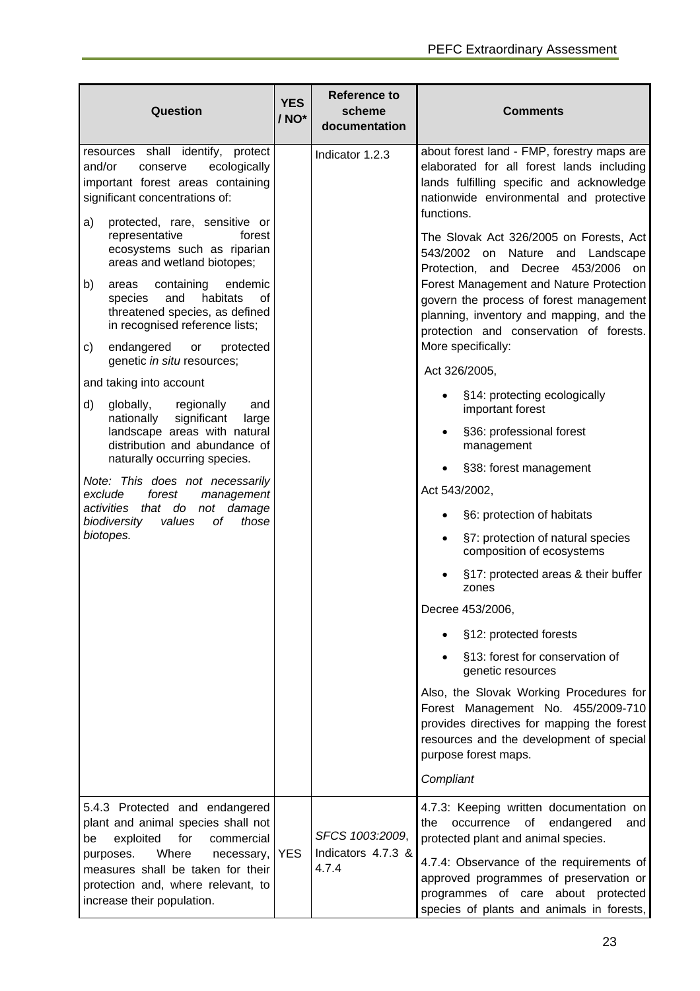| Question                                                                                                                                                                                                                                                                      | <b>YES</b><br>/ NO* | <b>Reference to</b><br>scheme<br>documentation | <b>Comments</b>                                                                                                                                                                                                                                                                                                                                                                                                                                                                                               |  |  |  |  |  |  |                                                                                                                                                                                                                                                                                                      |
|-------------------------------------------------------------------------------------------------------------------------------------------------------------------------------------------------------------------------------------------------------------------------------|---------------------|------------------------------------------------|---------------------------------------------------------------------------------------------------------------------------------------------------------------------------------------------------------------------------------------------------------------------------------------------------------------------------------------------------------------------------------------------------------------------------------------------------------------------------------------------------------------|--|--|--|--|--|--|------------------------------------------------------------------------------------------------------------------------------------------------------------------------------------------------------------------------------------------------------------------------------------------------------|
| resources shall identify, protect<br>and/or<br>ecologically<br>conserve<br>important forest areas containing<br>significant concentrations of:                                                                                                                                |                     | Indicator 1.2.3                                | about forest land - FMP, forestry maps are<br>elaborated for all forest lands including<br>lands fulfilling specific and acknowledge<br>nationwide environmental and protective<br>functions.                                                                                                                                                                                                                                                                                                                 |  |  |  |  |  |  |                                                                                                                                                                                                                                                                                                      |
| protected, rare, sensitive or<br>a)<br>representative<br>forest<br>ecosystems such as riparian<br>areas and wetland biotopes;<br>b)<br>containing<br>endemic<br>areas<br>habitats<br>species<br>and<br>0f<br>threatened species, as defined<br>in recognised reference lists; |                     |                                                |                                                                                                                                                                                                                                                                                                                                                                                                                                                                                                               |  |  |  |  |  |  | The Slovak Act 326/2005 on Forests, Act<br>543/2002 on Nature and<br>Landscape<br>Protection, and Decree 453/2006<br>on<br>Forest Management and Nature Protection<br>govern the process of forest management<br>planning, inventory and mapping, and the<br>protection and conservation of forests. |
| endangered<br>protected<br>c)<br>or<br>genetic in situ resources;                                                                                                                                                                                                             |                     |                                                | More specifically:<br>Act 326/2005,                                                                                                                                                                                                                                                                                                                                                                                                                                                                           |  |  |  |  |  |  |                                                                                                                                                                                                                                                                                                      |
| and taking into account<br>d)<br>regionally<br>globally,<br>and<br>significant<br>nationally<br>large<br>landscape areas with natural<br>distribution and abundance of                                                                                                        |                     |                                                |                                                                                                                                                                                                                                                                                                                                                                                                                                                                                                               |  |  |  |  |  |  | §14: protecting ecologically<br>important forest<br>§36: professional forest<br>management                                                                                                                                                                                                           |
| naturally occurring species.<br>Note: This does not necessarily<br>exclude<br>forest<br>management<br>activities that do not damage<br>biodiversity<br>values<br>those<br>οf<br>biotopes.                                                                                     |                     |                                                | §38: forest management<br>Act 543/2002,<br>§6: protection of habitats<br>§7: protection of natural species<br>composition of ecosystems<br>§17: protected areas & their buffer<br>zones<br>Decree 453/2006,<br>§12: protected forests<br>§13: forest for conservation of<br>genetic resources<br>Also, the Slovak Working Procedures for<br>Forest Management No. 455/2009-710<br>provides directives for mapping the forest<br>resources and the development of special<br>purpose forest maps.<br>Compliant |  |  |  |  |  |  |                                                                                                                                                                                                                                                                                                      |
| 5.4.3 Protected and endangered<br>plant and animal species shall not<br>for<br>exploited<br>commercial<br>be<br>Where<br>purposes.<br>necessary,<br>measures shall be taken for their<br>protection and, where relevant, to<br>increase their population.                     | <b>YES</b>          | SFCS 1003:2009,<br>Indicators 4.7.3 &<br>4.7.4 | 4.7.3: Keeping written documentation on<br>endangered<br>occurrence<br>of<br>the<br>and<br>protected plant and animal species.<br>4.7.4: Observance of the requirements of<br>approved programmes of preservation or<br>programmes of care about protected<br>species of plants and animals in forests,                                                                                                                                                                                                       |  |  |  |  |  |  |                                                                                                                                                                                                                                                                                                      |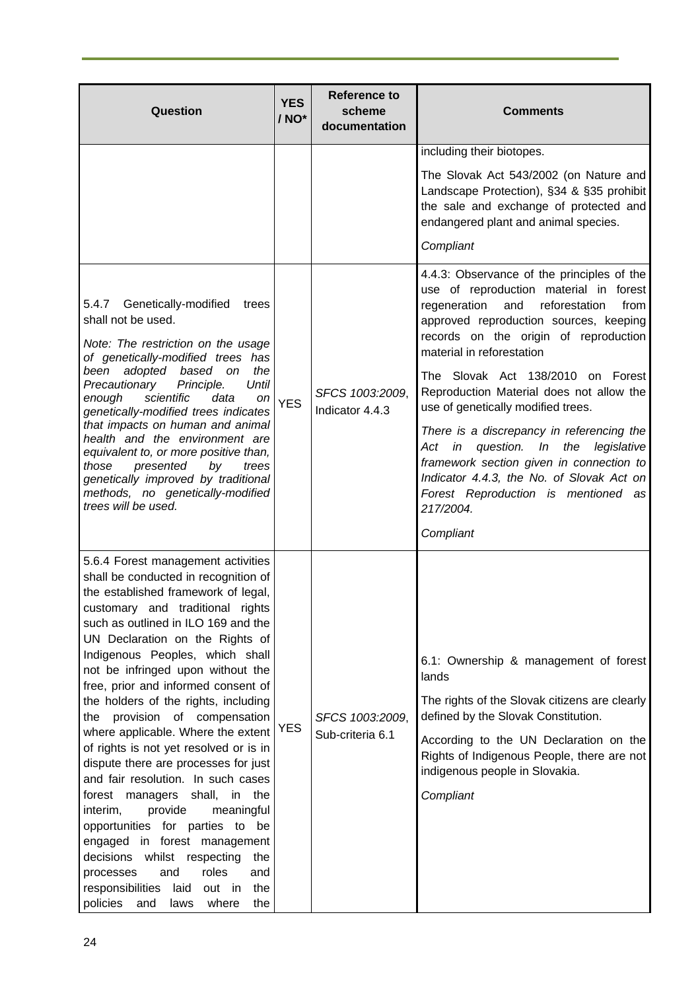| Question                                                                                                                                                                                                                                                                                                                                                                                                                                                                                                                                                                                                                                                                                                                                                                                                                                                                                               | <b>YES</b><br>/ NO* | <b>Reference to</b><br>scheme<br>documentation | <b>Comments</b>                                                                                                                                                                                                                                                               |
|--------------------------------------------------------------------------------------------------------------------------------------------------------------------------------------------------------------------------------------------------------------------------------------------------------------------------------------------------------------------------------------------------------------------------------------------------------------------------------------------------------------------------------------------------------------------------------------------------------------------------------------------------------------------------------------------------------------------------------------------------------------------------------------------------------------------------------------------------------------------------------------------------------|---------------------|------------------------------------------------|-------------------------------------------------------------------------------------------------------------------------------------------------------------------------------------------------------------------------------------------------------------------------------|
|                                                                                                                                                                                                                                                                                                                                                                                                                                                                                                                                                                                                                                                                                                                                                                                                                                                                                                        |                     |                                                | including their biotopes.                                                                                                                                                                                                                                                     |
|                                                                                                                                                                                                                                                                                                                                                                                                                                                                                                                                                                                                                                                                                                                                                                                                                                                                                                        |                     |                                                | The Slovak Act 543/2002 (on Nature and<br>Landscape Protection), §34 & §35 prohibit<br>the sale and exchange of protected and<br>endangered plant and animal species.                                                                                                         |
|                                                                                                                                                                                                                                                                                                                                                                                                                                                                                                                                                                                                                                                                                                                                                                                                                                                                                                        |                     |                                                | Compliant                                                                                                                                                                                                                                                                     |
| 5.4.7 Genetically-modified<br>trees<br>shall not be used.<br>Note: The restriction on the usage<br>of genetically-modified trees has<br>been adopted based on<br>the                                                                                                                                                                                                                                                                                                                                                                                                                                                                                                                                                                                                                                                                                                                                   |                     |                                                | 4.4.3: Observance of the principles of the<br>use of reproduction material in forest<br>reforestation<br>regeneration<br>and<br>from<br>approved reproduction sources, keeping<br>records on the origin of reproduction<br>material in reforestation                          |
| Precautionary<br>Principle.<br>Until<br>scientific<br>enough<br>data<br>on<br>genetically-modified trees indicates                                                                                                                                                                                                                                                                                                                                                                                                                                                                                                                                                                                                                                                                                                                                                                                     | <b>YES</b>          | SFCS 1003:2009,<br>Indicator 4.4.3             | The Slovak Act 138/2010 on Forest<br>Reproduction Material does not allow the<br>use of genetically modified trees.                                                                                                                                                           |
| that impacts on human and animal<br>health and the environment are<br>equivalent to, or more positive than,<br>presented<br>those<br>by<br>trees<br>genetically improved by traditional<br>methods, no genetically-modified<br>trees will be used.                                                                                                                                                                                                                                                                                                                                                                                                                                                                                                                                                                                                                                                     |                     |                                                | There is a discrepancy in referencing the<br>Act in question.<br>the<br>legislative<br>In<br>framework section given in connection to<br>Indicator 4.4.3, the No. of Slovak Act on<br>Forest Reproduction is mentioned as<br>217/2004.                                        |
|                                                                                                                                                                                                                                                                                                                                                                                                                                                                                                                                                                                                                                                                                                                                                                                                                                                                                                        |                     |                                                | Compliant                                                                                                                                                                                                                                                                     |
| 5.6.4 Forest management activities<br>shall be conducted in recognition of<br>the established framework of legal,<br>customary and traditional rights<br>such as outlined in ILO 169 and the<br>UN Declaration on the Rights of<br>Indigenous Peoples, which shall<br>not be infringed upon without the<br>free, prior and informed consent of<br>the holders of the rights, including<br>provision of compensation<br>the<br>where applicable. Where the extent<br>of rights is not yet resolved or is in<br>dispute there are processes for just<br>and fair resolution. In such cases<br>forest managers shall, in the<br>provide<br>meaningful<br>interim,<br>opportunities for parties to be<br>engaged in forest management<br>decisions whilst<br>respecting<br>the<br>roles<br>processes<br>and<br>and<br>responsibilities<br>laid<br>out in<br>the<br>policies<br>where<br>and<br>the<br>laws | <b>YES</b>          | SFCS 1003:2009,<br>Sub-criteria 6.1            | 6.1: Ownership & management of forest<br>lands<br>The rights of the Slovak citizens are clearly<br>defined by the Slovak Constitution.<br>According to the UN Declaration on the<br>Rights of Indigenous People, there are not<br>indigenous people in Slovakia.<br>Compliant |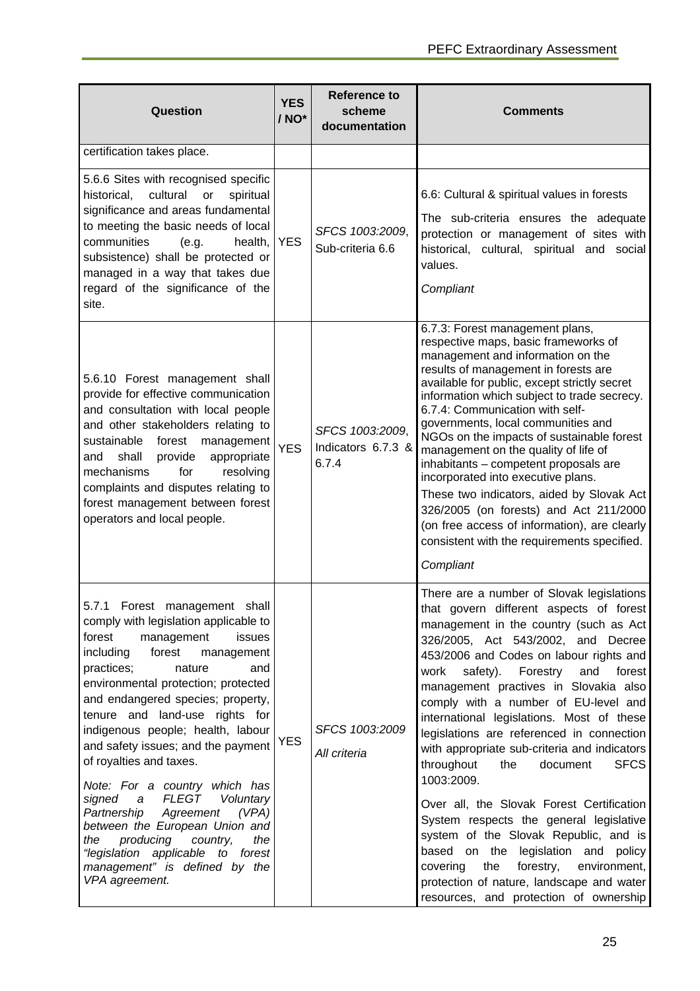| <b>Question</b>                                                                                                                                                                                                                                                                                                                                                                                                                                                                                                                                                                                                                                                                           | <b>YES</b><br>/ NO* | <b>Reference to</b><br>scheme<br>documentation | <b>Comments</b>                                                                                                                                                                                                                                                                                                                                                                                                                                                                                                                                                                                                                                                                                                                                                                                                                                                    |
|-------------------------------------------------------------------------------------------------------------------------------------------------------------------------------------------------------------------------------------------------------------------------------------------------------------------------------------------------------------------------------------------------------------------------------------------------------------------------------------------------------------------------------------------------------------------------------------------------------------------------------------------------------------------------------------------|---------------------|------------------------------------------------|--------------------------------------------------------------------------------------------------------------------------------------------------------------------------------------------------------------------------------------------------------------------------------------------------------------------------------------------------------------------------------------------------------------------------------------------------------------------------------------------------------------------------------------------------------------------------------------------------------------------------------------------------------------------------------------------------------------------------------------------------------------------------------------------------------------------------------------------------------------------|
| certification takes place.                                                                                                                                                                                                                                                                                                                                                                                                                                                                                                                                                                                                                                                                |                     |                                                |                                                                                                                                                                                                                                                                                                                                                                                                                                                                                                                                                                                                                                                                                                                                                                                                                                                                    |
| 5.6.6 Sites with recognised specific<br>historical,<br>cultural<br>spiritual<br>or<br>significance and areas fundamental<br>to meeting the basic needs of local<br>communities<br>(e.g.<br>health,<br>subsistence) shall be protected or<br>managed in a way that takes due<br>regard of the significance of the<br>site.                                                                                                                                                                                                                                                                                                                                                                 | <b>YES</b>          | SFCS 1003:2009,<br>Sub-criteria 6.6            | 6.6: Cultural & spiritual values in forests<br>The sub-criteria ensures the adequate<br>protection or management of sites with<br>historical, cultural, spiritual and social<br>values.<br>Compliant                                                                                                                                                                                                                                                                                                                                                                                                                                                                                                                                                                                                                                                               |
| 5.6.10 Forest management shall<br>provide for effective communication<br>and consultation with local people<br>and other stakeholders relating to<br>sustainable<br>forest management<br>shall<br>provide<br>appropriate<br>and<br>for<br>resolving<br>mechanisms<br>complaints and disputes relating to<br>forest management between forest<br>operators and local people.                                                                                                                                                                                                                                                                                                               | <b>YES</b>          | SFCS 1003:2009,<br>Indicators 6.7.3 &<br>6.7.4 | 6.7.3: Forest management plans,<br>respective maps, basic frameworks of<br>management and information on the<br>results of management in forests are<br>available for public, except strictly secret<br>information which subject to trade secrecy.<br>6.7.4: Communication with self-<br>governments, local communities and<br>NGOs on the impacts of sustainable forest<br>management on the quality of life of<br>inhabitants - competent proposals are<br>incorporated into executive plans.<br>These two indicators, aided by Slovak Act<br>326/2005 (on forests) and Act 211/2000<br>(on free access of information), are clearly<br>consistent with the requirements specified.<br>Compliant                                                                                                                                                                |
| 5.7.1 Forest<br>shall<br>management<br>comply with legislation applicable to<br>forest<br>management<br>issues<br>including<br>forest<br>management<br>practices;<br>nature<br>and<br>environmental protection; protected<br>and endangered species; property,<br>tenure and land-use rights for<br>indigenous people; health, labour<br>and safety issues; and the payment<br>of royalties and taxes.<br>Note: For a country which has<br><b>FLEGT</b><br>signed<br>Voluntary<br>a<br>Partnership<br>Agreement<br>(VPA)<br>between the European Union and<br>producing<br>country,<br>the<br>the<br>"legislation applicable to forest<br>management" is defined by the<br>VPA agreement. | <b>YES</b>          | SFCS 1003:2009<br>All criteria                 | There are a number of Slovak legislations<br>that govern different aspects of forest<br>management in the country (such as Act<br>326/2005, Act 543/2002, and Decree<br>453/2006 and Codes on labour rights and<br>work safety). Forestry<br>and<br>forest<br>management practives in Slovakia also<br>comply with a number of EU-level and<br>international legislations. Most of these<br>legislations are referenced in connection<br>with appropriate sub-criteria and indicators<br>throughout<br>the<br><b>SFCS</b><br>document<br>1003:2009.<br>Over all, the Slovak Forest Certification<br>System respects the general legislative<br>system of the Slovak Republic, and is<br>based on the legislation and policy<br>forestry,<br>covering<br>the<br>environment,<br>protection of nature, landscape and water<br>resources, and protection of ownership |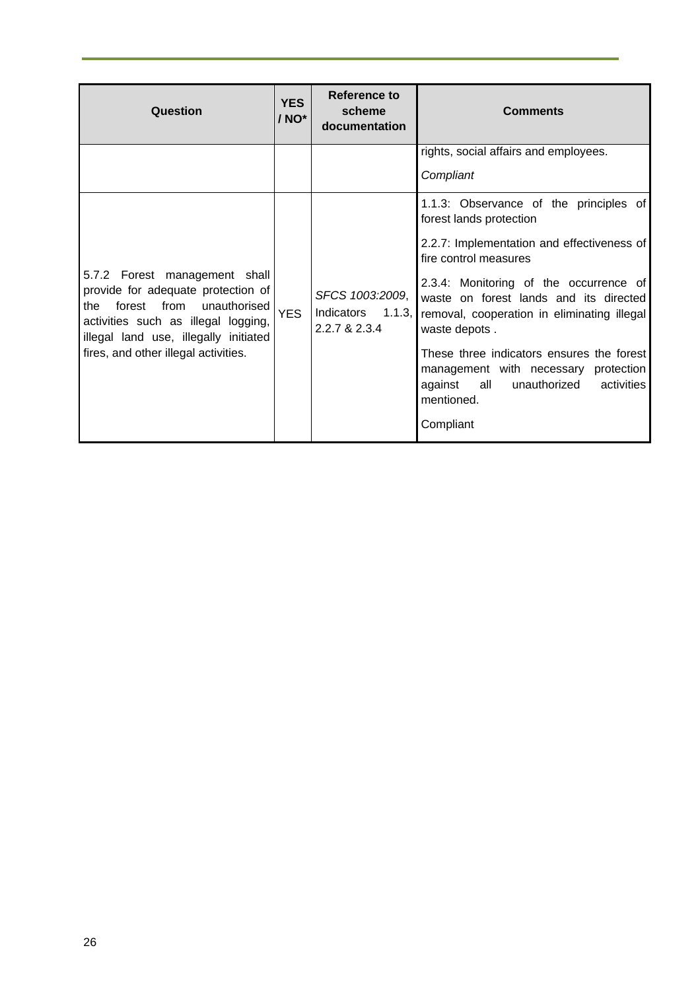| <b>Question</b>                                                                                                                                                                                                                   | <b>YES</b><br>/ NO* | Reference to<br>scheme<br>documentation                  | <b>Comments</b>                                                                                                                                                                                                                                                                                                                                                                                                                                              |
|-----------------------------------------------------------------------------------------------------------------------------------------------------------------------------------------------------------------------------------|---------------------|----------------------------------------------------------|--------------------------------------------------------------------------------------------------------------------------------------------------------------------------------------------------------------------------------------------------------------------------------------------------------------------------------------------------------------------------------------------------------------------------------------------------------------|
|                                                                                                                                                                                                                                   |                     |                                                          | rights, social affairs and employees.<br>Compliant                                                                                                                                                                                                                                                                                                                                                                                                           |
| 5.7.2 Forest management shall<br>provide for adequate protection of<br>forest from<br>unauthorised<br>the<br>activities such as illegal logging,<br>illegal land use, illegally initiated<br>fires, and other illegal activities. | <b>YES</b>          | SFCS 1003:2009,<br>Indicators<br>1.1.3,<br>2.2.7 & 2.3.4 | 1.1.3: Observance of the principles of<br>forest lands protection<br>2.2.7: Implementation and effectiveness of<br>fire control measures<br>2.3.4: Monitoring of the occurrence of<br>waste on forest lands and its directed<br>removal, cooperation in eliminating illegal<br>waste depots.<br>These three indicators ensures the forest<br>management with necessary protection<br>all<br>unauthorized<br>activities<br>against<br>mentioned.<br>Compliant |